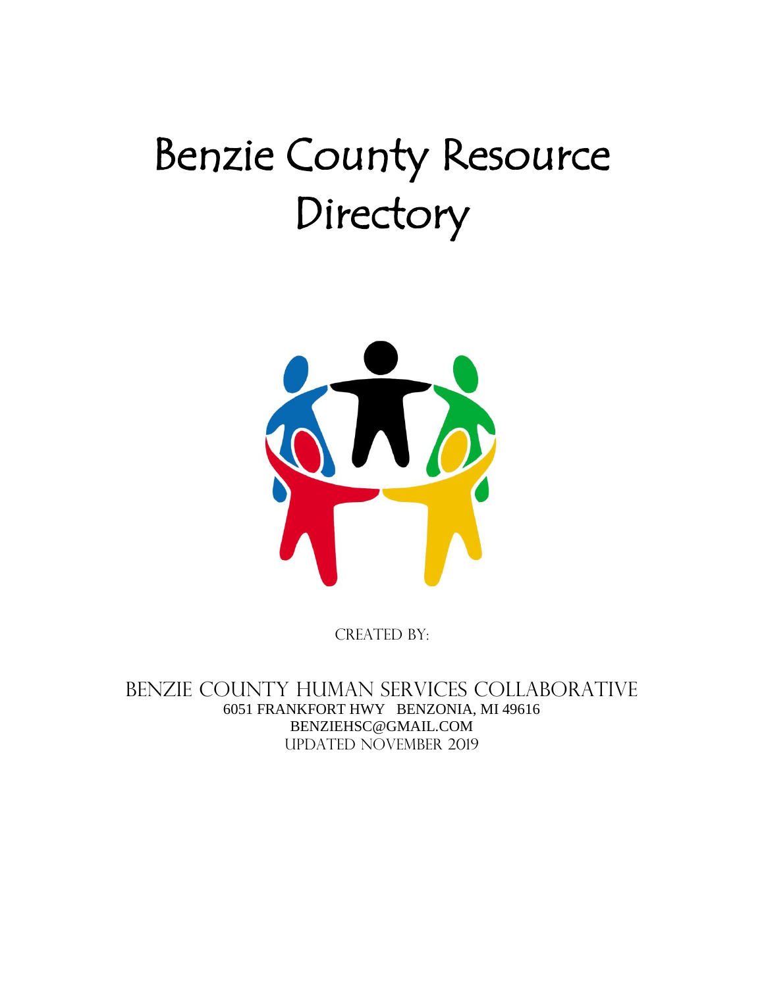# Benzie County Resource Directory



CREATED BY:

Benzie County Human Services Collaborative 6051 FRANKFORT HWY BENZONIA, MI 49616 BENZIEHSC@GMAIL.COM Updated NOVEMBER 2019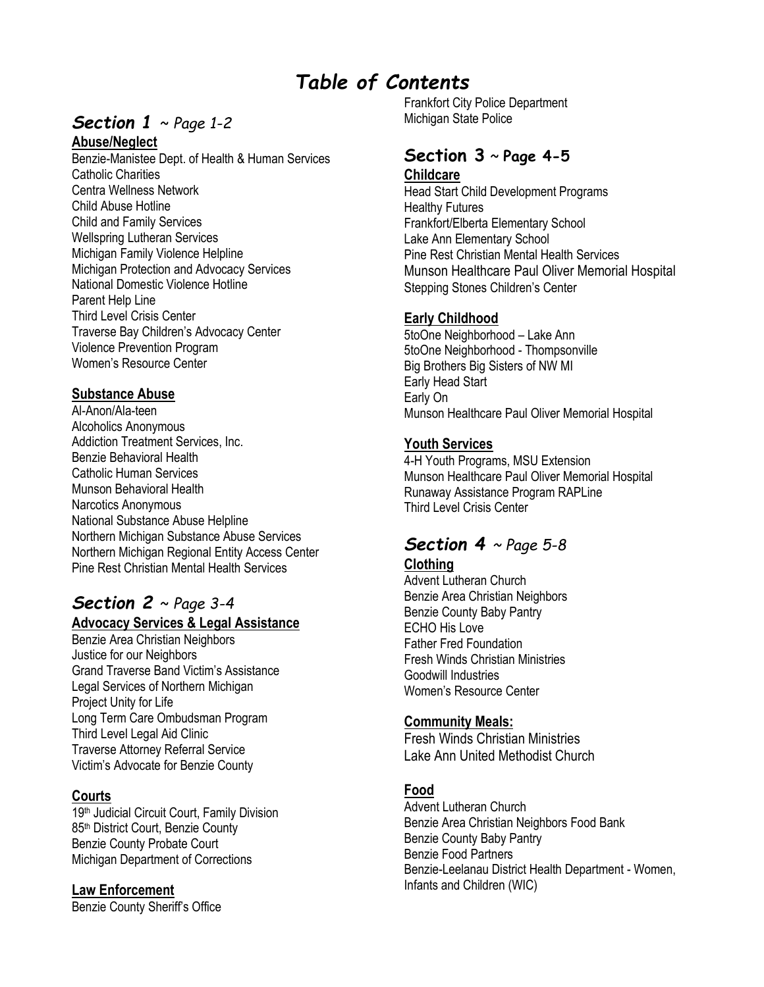# *Table of Contents*

# *Section 1* ~ *Page 1-2*

#### **Abuse/Neglect**

Benzie-Manistee Dept. of Health & Human Services Catholic Charities Centra Wellness Network Child Abuse Hotline Child and Family Services Wellspring Lutheran Services Michigan Family Violence Helpline Michigan Protection and Advocacy Services National Domestic Violence Hotline Parent Help Line Third Level Crisis Center Traverse Bay Children's Advocacy Center Violence Prevention Program Women's Resource Center

#### **Substance Abuse**

Al-Anon/Ala-teen Alcoholics Anonymous Addiction Treatment Services, Inc. Benzie Behavioral Health Catholic Human Services Munson Behavioral Health Narcotics Anonymous National Substance Abuse Helpline Northern Michigan Substance Abuse Services Northern Michigan Regional Entity Access Center Pine Rest Christian Mental Health Services

# *Section 2* ~ *Page 3-4*

# **Advocacy Services & Legal Assistance**

Benzie Area Christian Neighbors Justice for our Neighbors Grand Traverse Band Victim's Assistance Legal Services of Northern Michigan Project Unity for Life Long Term Care Ombudsman Program Third Level Legal Aid Clinic Traverse Attorney Referral Service Victim's Advocate for Benzie County

#### **Courts**

19<sup>th</sup> Judicial Circuit Court, Family Division 85<sup>th</sup> District Court, Benzie County Benzie County Probate Court Michigan Department of Corrections

#### **Law Enforcement**

Benzie County Sheriff's Office

Frankfort City Police Department Michigan State Police

#### **Section 3** ~ **Page 4-5 Childcare**

Head Start Child Development Programs Healthy Futures Frankfort/Elberta Elementary School Lake Ann Elementary School Pine Rest Christian Mental Health Services Munson Healthcare Paul Oliver Memorial Hospital Stepping Stones Children's Center

#### **Early Childhood**

5toOne Neighborhood – Lake Ann 5toOne Neighborhood - Thompsonville Big Brothers Big Sisters of NW MI Early Head Start Early On Munson Healthcare Paul Oliver Memorial Hospital

#### **Youth Services**

4-H Youth Programs, MSU Extension Munson Healthcare Paul Oliver Memorial Hospital Runaway Assistance Program RAPLine Third Level Crisis Center

#### *Section 4 ~ Page 5-8* **Clothing**

Advent Lutheran Church Benzie Area Christian Neighbors Benzie County Baby Pantry ECHO His Love Father Fred Foundation Fresh Winds Christian Ministries Goodwill Industries Women's Resource Center

#### **Community Meals:**

Fresh Winds Christian Ministries Lake Ann United Methodist Church

#### **Food**

Advent Lutheran Church Benzie Area Christian Neighbors Food Bank Benzie County Baby Pantry Benzie Food Partners Benzie-Leelanau District Health Department - Women, Infants and Children (WIC)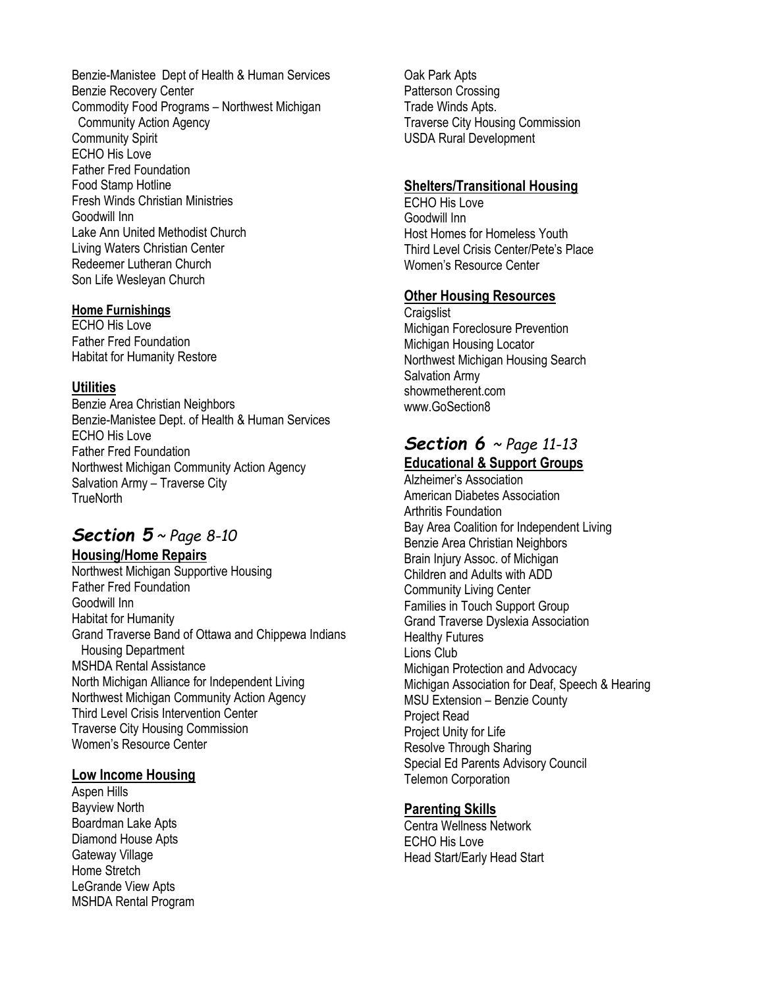Benzie-Manistee Dept of Health & Human Services Benzie Recovery Center Commodity Food Programs – Northwest Michigan Community Action Agency Community Spirit ECHO His Love Father Fred Foundation Food Stamp Hotline Fresh Winds Christian Ministries Goodwill Inn Lake Ann United Methodist Church Living Waters Christian Center Redeemer Lutheran Church Son Life Wesleyan Church

#### **Home Furnishings**

ECHO His Love Father Fred Foundation Habitat for Humanity Restore

#### **Utilities**

Benzie Area Christian Neighbors Benzie-Manistee Dept. of Health & Human Services ECHO His Love Father Fred Foundation Northwest Michigan Community Action Agency Salvation Army – Traverse City **TrueNorth** 

# *Section 5 ~ Page 8-10*

**Housing/Home Repairs** Northwest Michigan Supportive Housing Father Fred Foundation Goodwill Inn Habitat for Humanity Grand Traverse Band of Ottawa and Chippewa Indians Housing Department MSHDA Rental Assistance North Michigan Alliance for Independent Living Northwest Michigan Community Action Agency Third Level Crisis Intervention Center Traverse City Housing Commission Women's Resource Center

#### **Low Income Housing**

Aspen Hills Bayview North Boardman Lake Apts Diamond House Apts Gateway Village Home Stretch LeGrande View Apts MSHDA Rental Program Oak Park Apts Patterson Crossing Trade Winds Apts. Traverse City Housing Commission USDA Rural Development

#### **Shelters/Transitional Housing**

ECHO His Love Goodwill Inn Host Homes for Homeless Youth Third Level Crisis Center/Pete's Place Women's Resource Center

#### **Other Housing Resources**

**Craigslist** Michigan Foreclosure Prevention Michigan Housing Locator Northwest Michigan Housing Search Salvation Army showmetherent.com [www.GoSection8](http://www.gosection8/)

#### *Section 6 ~ Page 11-13* **Educational & Support Groups**

Alzheimer's Association American Diabetes Association Arthritis Foundation Bay Area Coalition for Independent Living Benzie Area Christian Neighbors Brain Injury Assoc. of Michigan Children and Adults with ADD Community Living Center Families in Touch Support Group Grand Traverse Dyslexia Association Healthy Futures Lions Club Michigan Protection and Advocacy Michigan Association for Deaf, Speech & Hearing MSU Extension – Benzie County Project Read Project Unity for Life Resolve Through Sharing Special Ed Parents Advisory Council Telemon Corporation

#### **Parenting Skills**

Centra Wellness Network ECHO His Love Head Start/Early Head Start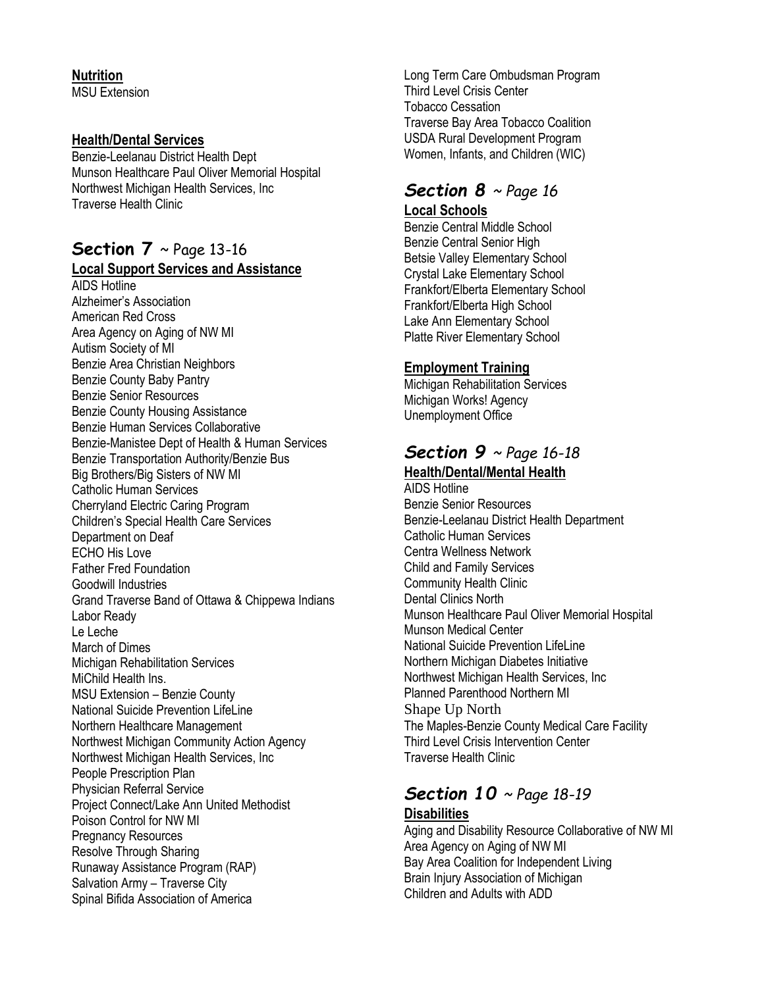#### **Nutrition**

MSU Extension

#### **Health/Dental Services**

Benzie-Leelanau District Health Dept Munson Healthcare Paul Oliver Memorial Hospital Northwest Michigan Health Services, Inc Traverse Health Clinic

# **Section 7** ~ Page 13-16

#### **Local Support Services and Assistance**

AIDS Hotline Alzheimer's Association American Red Cross Area Agency on Aging of NW MI Autism Society of MI Benzie Area Christian Neighbors Benzie County Baby Pantry Benzie Senior Resources Benzie County Housing Assistance Benzie Human Services Collaborative Benzie-Manistee Dept of Health & Human Services Benzie Transportation Authority/Benzie Bus Big Brothers/Big Sisters of NW MI Catholic Human Services Cherryland Electric Caring Program Children's Special Health Care Services Department on Deaf ECHO His Love Father Fred Foundation Goodwill Industries Grand Traverse Band of Ottawa & Chippewa Indians Labor Ready Le Leche March of Dimes Michigan Rehabilitation Services MiChild Health Ins. MSU Extension – Benzie County National Suicide Prevention LifeLine Northern Healthcare Management Northwest Michigan Community Action Agency Northwest Michigan Health Services, Inc People Prescription Plan Physician Referral Service Project Connect/Lake Ann United Methodist Poison Control for NW MI Pregnancy Resources Resolve Through Sharing Runaway Assistance Program (RAP) Salvation Army – Traverse City Spinal Bifida Association of America

Long Term Care Ombudsman Program Third Level Crisis Center Tobacco Cessation Traverse Bay Area Tobacco Coalition USDA Rural Development Program Women, Infants, and Children (WIC)

# *Section 8 ~ Page 16*

#### **Local Schools**

Benzie Central Middle School Benzie Central Senior High Betsie Valley Elementary School Crystal Lake Elementary School Frankfort/Elberta Elementary School Frankfort/Elberta High School Lake Ann Elementary School Platte River Elementary School

#### **Employment Training**

Michigan Rehabilitation Services Michigan Works! Agency Unemployment Office

# *Section 9 ~ Page 16-18*

#### **Health/Dental/Mental Health**

AIDS Hotline Benzie Senior Resources Benzie-Leelanau District Health Department Catholic Human Services Centra Wellness Network Child and Family Services Community Health Clinic Dental Clinics North Munson Healthcare Paul Oliver Memorial Hospital Munson Medical Center National Suicide Prevention LifeLine Northern Michigan Diabetes Initiative Northwest Michigan Health Services, Inc Planned Parenthood Northern MI Shape Up North The Maples-Benzie County Medical Care Facility Third Level Crisis Intervention Center Traverse Health Clinic

# *Section 10 ~ Page 18-19* **Disabilities**

Aging and Disability Resource Collaborative of NW MI Area Agency on Aging of NW MI Bay Area Coalition for Independent Living Brain Injury Association of Michigan Children and Adults with ADD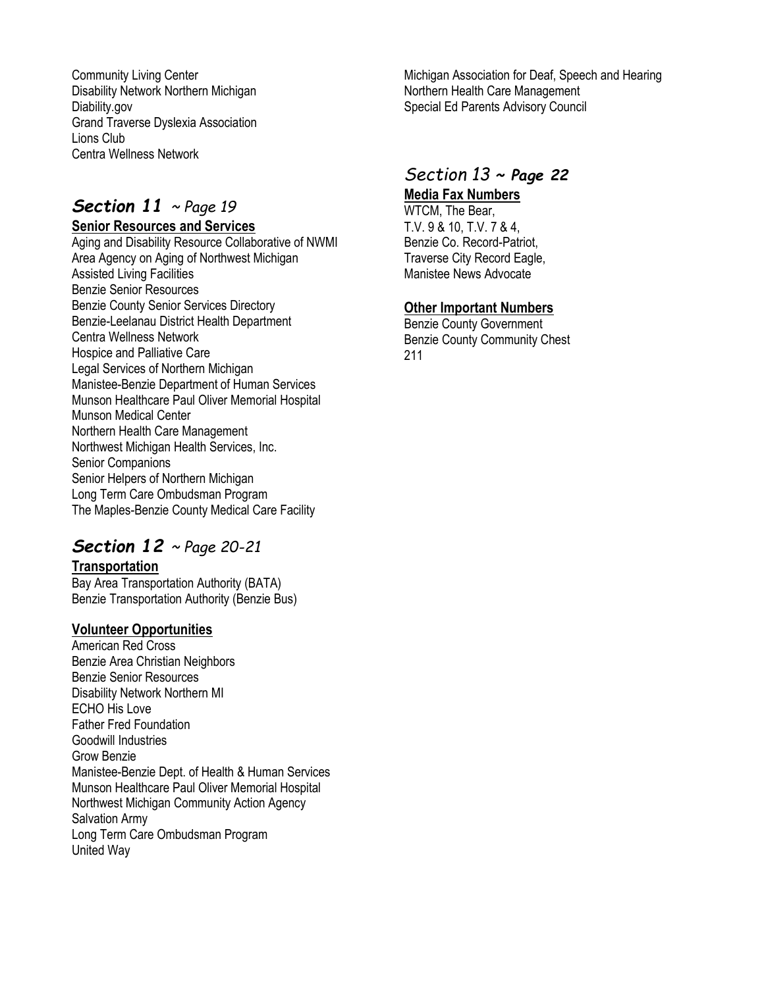Community Living Center Disability Network Northern Michigan Diability.gov Grand Traverse Dyslexia Association Lions Club Centra Wellness Network

# *Section 11 ~ Page 19*

#### **Senior Resources and Services**

Aging and Disability Resource Collaborative of NWMI Area Agency on Aging of Northwest Michigan Assisted Living Facilities Benzie Senior Resources Benzie County Senior Services Directory Benzie-Leelanau District Health Department Centra Wellness Network Hospice and Palliative Care Legal Services of Northern Michigan Manistee-Benzie Department of Human Services Munson Healthcare Paul Oliver Memorial Hospital Munson Medical Center Northern Health Care Management Northwest Michigan Health Services, Inc. Senior Companions Senior Helpers of Northern Michigan Long Term Care Ombudsman Program The Maples-Benzie County Medical Care Facility

# *Section 12 ~ Page 20-21*

**Transportation**

Bay Area Transportation Authority (BATA) Benzie Transportation Authority (Benzie Bus)

#### **Volunteer Opportunities**

American Red Cross Benzie Area Christian Neighbors Benzie Senior Resources Disability Network Northern MI ECHO His Love Father Fred Foundation Goodwill Industries Grow Benzie Manistee-Benzie Dept. of Health & Human Services Munson Healthcare Paul Oliver Memorial Hospital Northwest Michigan Community Action Agency Salvation Army Long Term Care Ombudsman Program United Way

Michigan Association for Deaf, Speech and Hearing Northern Health Care Management Special Ed Parents Advisory Council

# *Section 13 ~ Page 22*

**Media Fax Numbers**

WTCM, The Bear, T.V. 9 & 10, T.V. 7 & 4, Benzie Co. Record-Patriot, Traverse City Record Eagle, Manistee News Advocate

# **Other Important Numbers**

Benzie County Government Benzie County Community Chest 211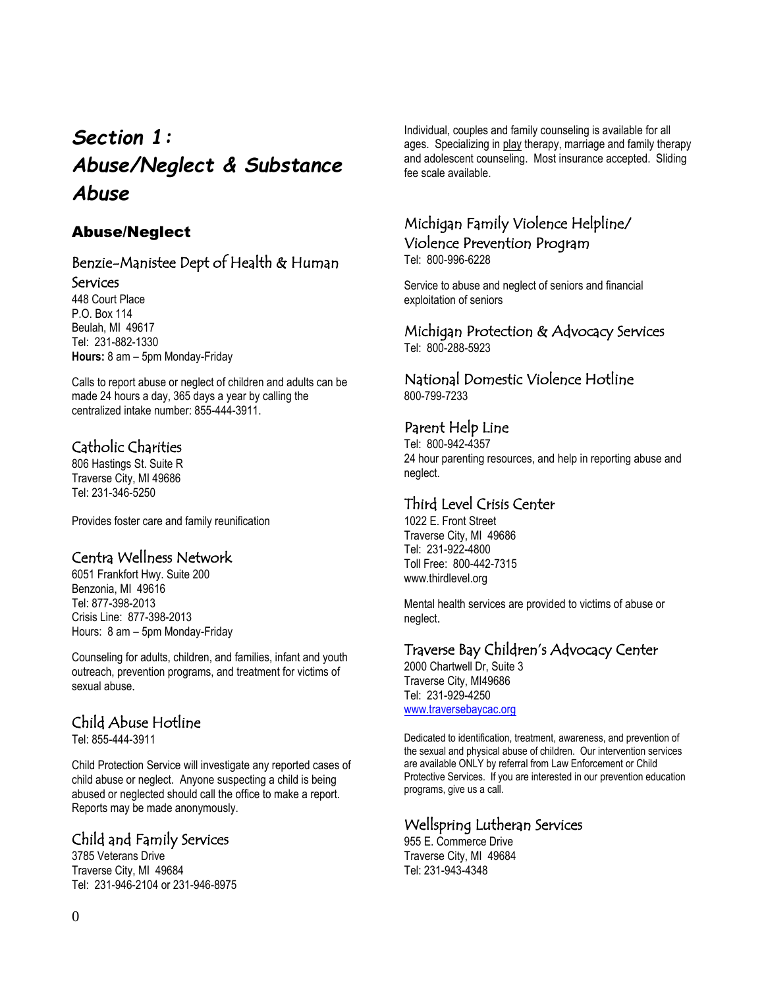# *Section 1: Abuse/Neglect & Substance Abuse*

# Abuse/Neglect

#### Benzie-Manistee Dept of Health & Human Services

448 Court Place P.O. Box 114 Beulah, MI 49617 Tel: 231-882-1330 **Hours:** 8 am – 5pm Monday-Friday

Calls to report abuse or neglect of children and adults can be made 24 hours a day, 365 days a year by calling the centralized intake number: 855-444-3911.

# Catholic Charities

806 Hastings St. Suite R Traverse City, MI 49686 Tel: 231-346-5250

Provides foster care and family reunification

# Centra Wellness Network

6051 Frankfort Hwy. Suite 200 Benzonia, MI 49616 Tel: 877-398-2013 Crisis Line: 877-398-2013 Hours: 8 am – 5pm Monday-Friday

Counseling for adults, children, and families, infant and youth outreach, prevention programs, and treatment for victims of sexual abuse.

# Child Abuse Hotline

Tel: 855-444-3911

Child Protection Service will investigate any reported cases of child abuse or neglect. Anyone suspecting a child is being abused or neglected should call the office to make a report. Reports may be made anonymously.

# Child and Family Services

3785 Veterans Drive Traverse City, MI 49684 Tel: 231-946-2104 or 231-946-8975 Individual, couples and family counseling is available for all ages. Specializing in play therapy, marriage and family therapy and adolescent counseling. Most insurance accepted. Sliding fee scale available.

# Michigan Family Violence Helpline/ Violence Prevention Program

Tel: 800-996-6228

Service to abuse and neglect of seniors and financial exploitation of seniors

#### Michigan Protection & Advocacy Services Tel: 800-288-5923

#### National Domestic Violence Hotline 800-799-7233

# Parent Help Line

Tel: 800-942-4357 24 hour parenting resources, and help in reporting abuse and neglect.

# Third Level Crisis Center

1022 E. Front Street Traverse City, MI 49686 Tel: 231-922-4800 Toll Free: 800-442-7315 www.thirdlevel.org

Mental health services are provided to victims of abuse or neglect.

# Traverse Bay Children's Advocacy Center

2000 Chartwell Dr, Suite 3 Traverse City, MI49686 Tel: 231-929-4250 [www.traversebaycac.org](http://www.traversebaycac.org/)

Dedicated to identification, treatment, awareness, and prevention of the sexual and physical abuse of children. Our intervention services are available ONLY by referral from Law Enforcement or Child Protective Services. If you are interested in our prevention education programs, give us a call.

# Wellspring Lutheran Services

955 E. Commerce Drive Traverse City, MI 49684 Tel: 231-943-4348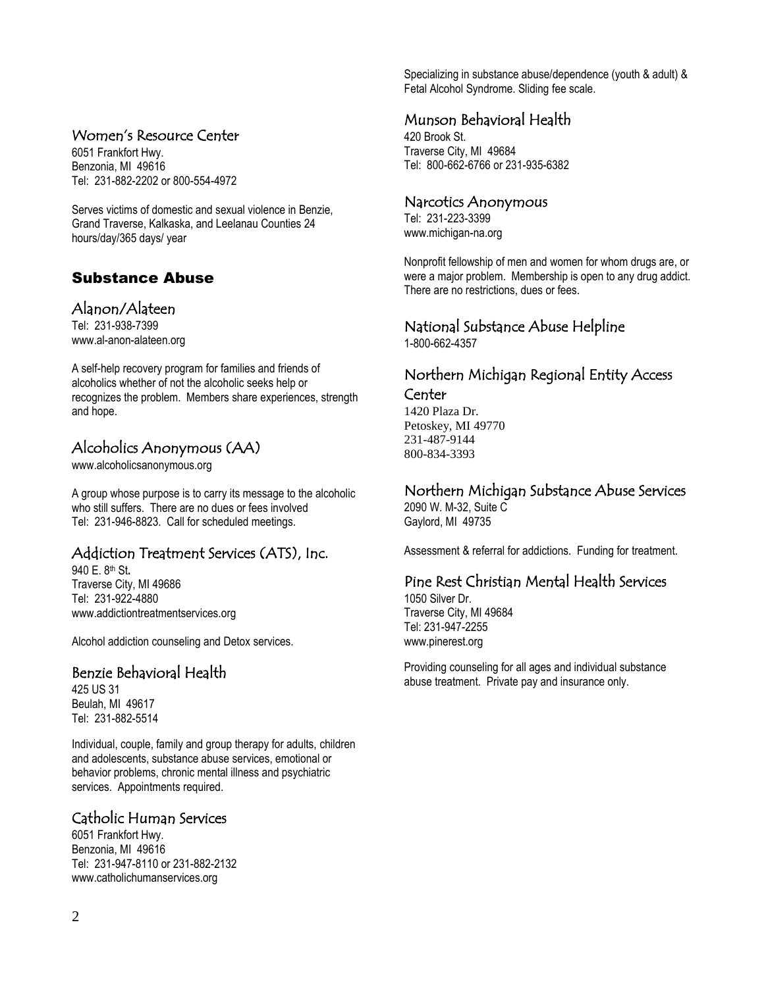#### Women's Resource Center

6051 Frankfort Hwy. Benzonia, MI 49616 Tel: 231-882-2202 or 800-554-4972

Serves victims of domestic and sexual violence in Benzie, Grand Traverse, Kalkaska, and Leelanau Counties 24 hours/day/365 days/ year

# Substance Abuse

#### Alanon/Alateen

Tel: 231-938-7399 [www.al-anon-alateen.org](http://www.al-anon-alateen.org/)

A self-help recovery program for families and friends of alcoholics whether of not the alcoholic seeks help or recognizes the problem. Members share experiences, strength and hope.

# Alcoholics Anonymous (AA)

[www.alcoholicsanonymous.org](http://www.alcoholicsanonymous.org/)

A group whose purpose is to carry its message to the alcoholic who still suffers. There are no dues or fees involved Tel: 231-946-8823. Call for scheduled meetings.

# Addiction Treatment Services (ATS), Inc.

940 E. 8th St**.** Traverse City, MI 49686 Tel: 231-922-4880 www.addictiontreatmentservices.org

Alcohol addiction counseling and Detox services.

# Benzie Behavioral Health

425 US 31 Beulah, MI 49617 Tel: 231-882-5514

Individual, couple, family and group therapy for adults, children and adolescents, substance abuse services, emotional or behavior problems, chronic mental illness and psychiatric services. Appointments required.

# Catholic Human Services

6051 Frankfort Hwy. Benzonia, MI 49616 Tel: 231-947-8110 or 231-882-2132 www.catholichumanservices.org

Specializing in substance abuse/dependence (youth & adult) & Fetal Alcohol Syndrome. Sliding fee scale.

#### Munson Behavioral Health

420 Brook St. Traverse City, MI 49684 Tel: 800-662-6766 or 231-935-6382

#### Narcotics Anonymous

Tel: 231-223-3399 [www.michigan-na.org](http://www.michigan-na.org/)

Nonprofit fellowship of men and women for whom drugs are, or were a major problem. Membership is open to any drug addict. There are no restrictions, dues or fees.

# National Substance Abuse Helpline

1-800-662-4357

#### Northern Michigan Regional Entity Access Center

1420 Plaza Dr.

Petoskey, MI 49770 231-487-9144 800-834-3393

#### Northern Michigan Substance Abuse Services

2090 W. M-32, Suite C Gaylord, MI 49735

Assessment & referral for addictions. Funding for treatment.

# Pine Rest Christian Mental Health Services

1050 Silver Dr. Traverse City, MI 49684 Tel: 231-947-2255 [www.pinerest.org](http://www.pinerest.org/)

Providing counseling for all ages and individual substance abuse treatment. Private pay and insurance only.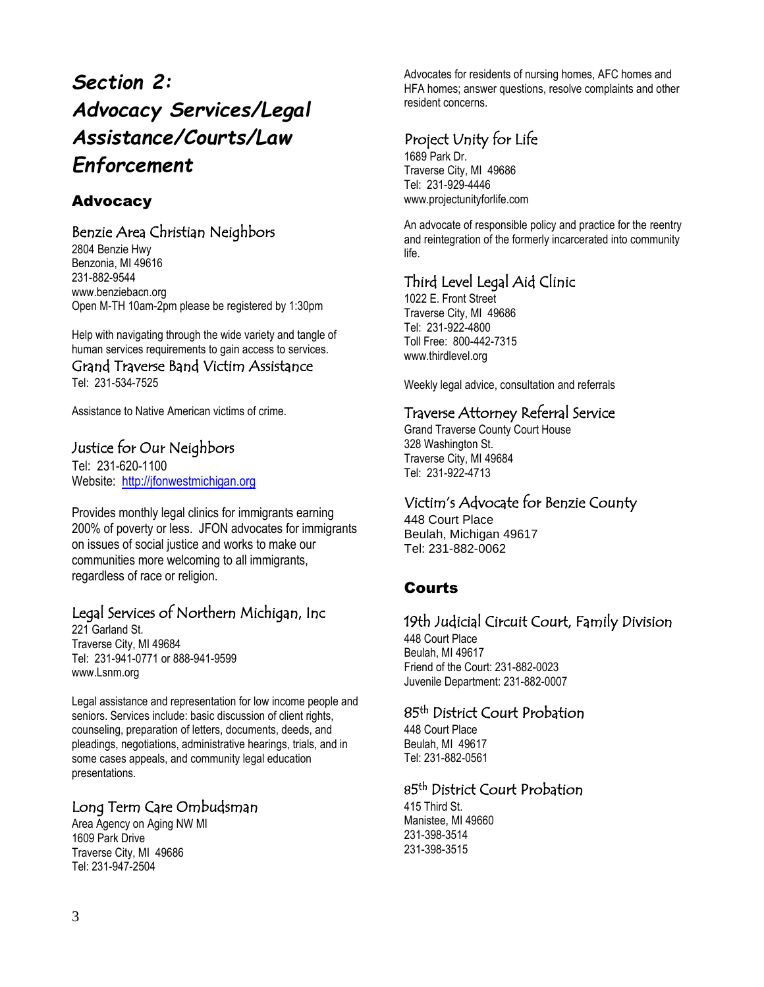# *Section 2: Advocacy Services/Legal Assistance/Courts/Law Enforcement*

# Advocacy

# Benzie Area Christian Neighbors

2804 Benzie Hwy Benzonia, MI 49616 231-882-9544 www.benziebacn.org Open M-TH 10am-2pm please be registered by 1:30pm

Help with navigating through the wide variety and tangle of human services requirements to gain access to services.

Grand Traverse Band Victim Assistance Tel: 231-534-7525

Assistance to Native American victims of crime.

#### Justice for Our Neighbors

Tel: 231-620-1100 Website: http://ifonwestmichigan.org

Provides monthly legal clinics for immigrants earning 200% of poverty or less. JFON advocates for immigrants on issues of social justice and works to make our communities more welcoming to all immigrants, regardless of race or religion.

# Legal Services of Northern Michigan, Inc

221 Garland St. Traverse City, MI 49684 Tel: 231-941-0771 or 888-941-9599 www.Lsnm.org

Legal assistance and representation for low income people and seniors. Services include: basic discussion of client rights, counseling, preparation of letters, documents, deeds, and pleadings, negotiations, administrative hearings, trials, and in some cases appeals, and community legal education presentations.

# Long Term Care Ombudsman

Area Agency on Aging NW MI 1609 Park Drive Traverse City, MI 49686 Tel[: 231-947-2504](tel:231-947-2504)

Advocates for residents of nursing homes, AFC homes and HFA homes; answer questions, resolve complaints and other resident concerns.

# Project Unity for Life

1689 Park Dr. Traverse City, MI 49686 Tel: 231-929-4446 www.projectunityforlife.com

An advocate of responsible policy and practice for the reentry and reintegration of the formerly incarcerated into community life.

# Third Level Legal Aid Clinic

1022 E. Front Street Traverse City, MI 49686 Tel: 231-922-4800 Toll Free: 800-442-7315 www.thirdlevel.org

Weekly legal advice, consultation and referrals

# Traverse Attorney Referral Service

Grand Traverse County Court House 328 Washington St. Traverse City, MI 49684 Tel: 231-922-4713

# Victim's Advocate for Benzie County

448 Court Place Beulah, Michigan 49617 Tel: 231-882-0062

# Courts

# 19th Judicial Circuit Court, Family Division

448 Court Place Beulah, MI 49617 Friend of the Court: 231-882-0023 Juvenile Department: 231-882-0007

#### 85<sup>th</sup> District Court Probation

448 Court Place Beulah, MI 49617 Tel: 231-882-0561

#### 85<sup>th</sup> District Court Probation

415 Third St. Manistee, MI 49660 231-398-3514 231-398-3515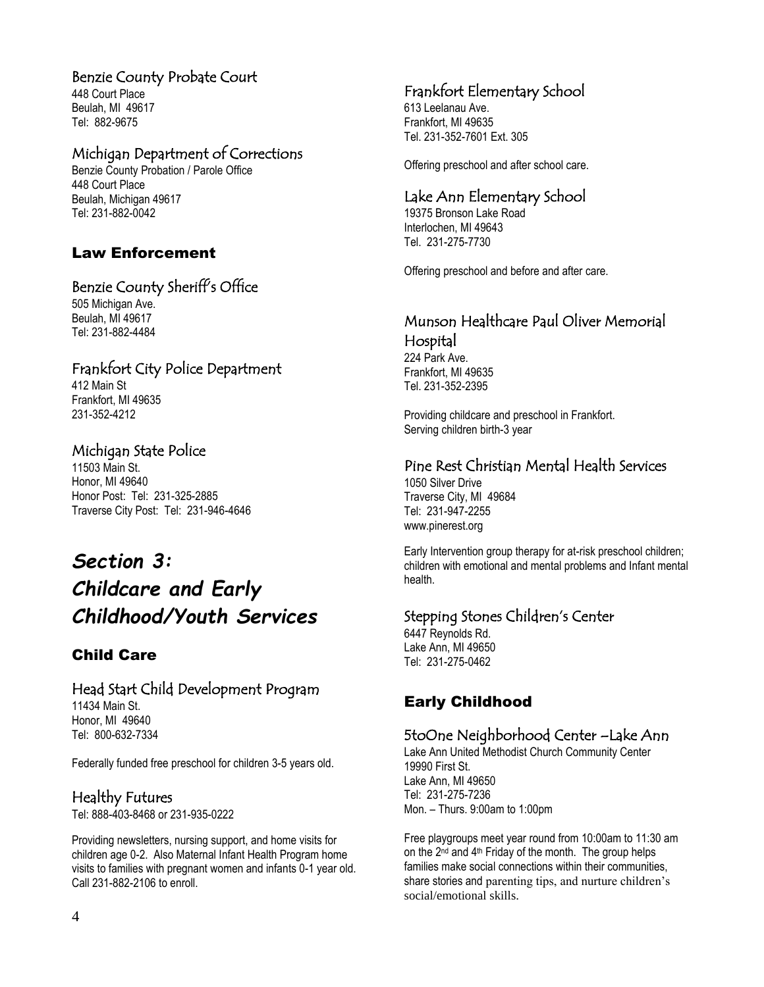#### Benzie County Probate Court

448 Court Place Beulah, MI 49617 Tel: 882-9675

# Michigan Department of Corrections

Benzie County Probation / Parole Office 448 Court Place Beulah, Michigan 49617 Tel: 231-882-0042

# Law Enforcement

# Benzie County Sheriff's Office

505 Michigan Ave. Beulah, MI 49617 Tel: 231-882-4484

#### Frankfort City Police Department

412 Main St Frankfort, MI 49635 231-352-4212

# Michigan State Police

11503 Main St. Honor, MI 49640 Honor Post: Tel: 231-325-2885 Traverse City Post: Tel: 231-946-4646

# *Section 3: Childcare and Early Childhood/Youth Services*

# Child Care

#### Head Start Child Development Program 11434 Main St.

Honor, MI 49640 Tel: 800-632-7334

Federally funded free preschool for children 3-5 years old.

# Healthy Futures

Tel: 888-403-8468 or 231-935-0222

Providing newsletters, nursing support, and home visits for children age 0-2. Also Maternal Infant Health Program home visits to families with pregnant women and infants 0-1 year old. Call 231-882-2106 to enroll.

# Frankfort Elementary School

613 Leelanau Ave. Frankfort, MI 49635 Tel. 231-352-7601 Ext. 305

Offering preschool and after school care.

# Lake Ann Elementary School

19375 Bronson Lake Road Interlochen, MI 49643 Tel. 231-275-7730

Offering preschool and before and after care.

# Munson Healthcare Paul Oliver Memorial Hospital

224 Park Ave. Frankfort, MI 49635 Tel. 231-352-2395

Providing childcare and preschool in Frankfort. Serving children birth-3 year

# Pine Rest Christian Mental Health Services

1050 Silver Drive Traverse City, MI 49684 Tel: 231-947-2255 www.pinerest.org

Early Intervention group therapy for at-risk preschool children; children with emotional and mental problems and Infant mental health.

#### Stepping Stones Children's Center

6447 Reynolds Rd. Lake Ann, MI 49650 Tel: 231-275-0462

# Early Childhood

# 5toOne Neighborhood Center –Lake Ann

Lake Ann United Methodist Church Community Center 19990 First St. Lake Ann, MI 49650 Tel: 231-275-7236 Mon. – Thurs. 9:00am to 1:00pm

Free playgroups meet year round from 10:00am to 11:30 am on the  $2^{nd}$  and  $4^{th}$  Friday of the month. The group helps families make social connections within their communities, share stories and parenting tips, and nurture children's social/emotional skills.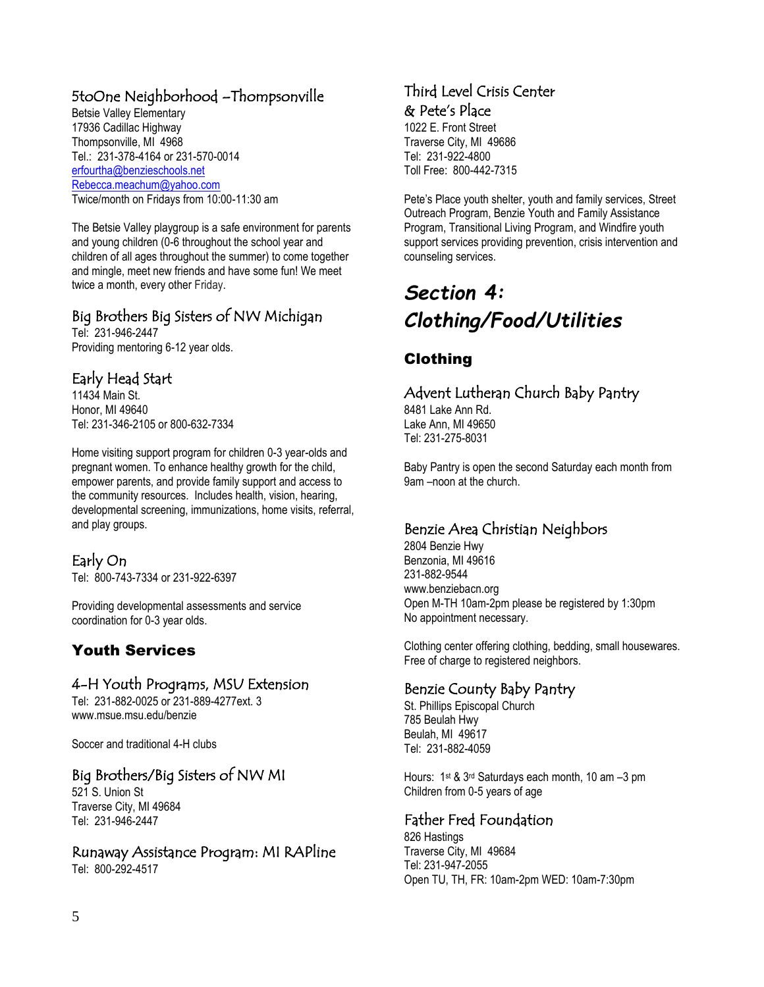# 5toOne Neighborhood –Thompsonville

Betsie Valley Elementary 17936 Cadillac Highway Thompsonville, MI 4968 Tel.: 231-378-4164 or 231-570-0014 [erfourtha@benzieschools.net](mailto:erfourtha@benzieschools.net) [Rebecca.meachum@yahoo.com](mailto:Rebecca.meachum@yahoo.com) Twice/month on Fridays from 10:00-11:30 am

The Betsie Valley playgroup is a safe environment for parents and young children (0-6 throughout the school year and children of all ages throughout the summer) to come together and mingle, meet new friends and have some fun! We meet twice a month, every other Friday.

# Big Brothers Big Sisters of NW Michigan

Tel: 231-946-2447 Providing mentoring 6-12 year olds.

# Early Head Start

11434 Main St. Honor, MI 49640 Tel: 231-346-2105 or 800-632-7334

Home visiting support program for children 0-3 year-olds and pregnant women. To enhance healthy growth for the child, empower parents, and provide family support and access to the community resources. Includes health, vision, hearing, developmental screening, immunizations, home visits, referral, and play groups.

# Early On

Tel: 800-743-7334 or 231-922-6397

Providing developmental assessments and service coordination for 0-3 year olds.

# Youth Services

# 4-H Youth Programs, MSU Extension

Tel: 231-882-0025 or 231-889-4277ext. 3 [www.msue.msu.edu/benzie](http://www.msue.msu.edu/benzie)

Soccer and traditional 4-H clubs

# Big Brothers/Big Sisters of NW MI

521 S. Union St Traverse City, MI 49684 Tel: 231-946-2447

Runaway Assistance Program: MI RAPline Tel: 800-292-4517

# Third Level Crisis Center & Pete's Place

1022 E. Front Street Traverse City, MI 49686 Tel: 231-922-4800 Toll Free: 800-442-7315

Pete's Place youth shelter, youth and family services, Street Outreach Program, Benzie Youth and Family Assistance Program, Transitional Living Program, and Windfire youth support services providing prevention, crisis intervention and counseling services.

# *Section 4: Clothing/Food/Utilities*

# Clothing

# Advent Lutheran Church Baby Pantry

8481 Lake Ann Rd. Lake Ann, MI 49650 Tel: 231-275-8031

Baby Pantry is open the second Saturday each month from 9am –noon at the church.

# Benzie Area Christian Neighbors

2804 Benzie Hwy Benzonia, MI 49616 231-882-9544 www.benziebacn.org Open M-TH 10am-2pm please be registered by 1:30pm No appointment necessary.

Clothing center offering clothing, bedding, small housewares. Free of charge to registered neighbors.

#### Benzie County Baby Pantry

St. Phillips Episcopal Church 785 Beulah Hwy Beulah, MI 49617 Tel: 231-882-4059

Hours: 1st & 3rd Saturdays each month, 10 am –3 pm Children from 0-5 years of age

# Father Fred Foundation

826 Hastings Traverse City, MI 49684 Tel: 231-947-2055 Open TU, TH, FR: 10am-2pm WED: 10am-7:30pm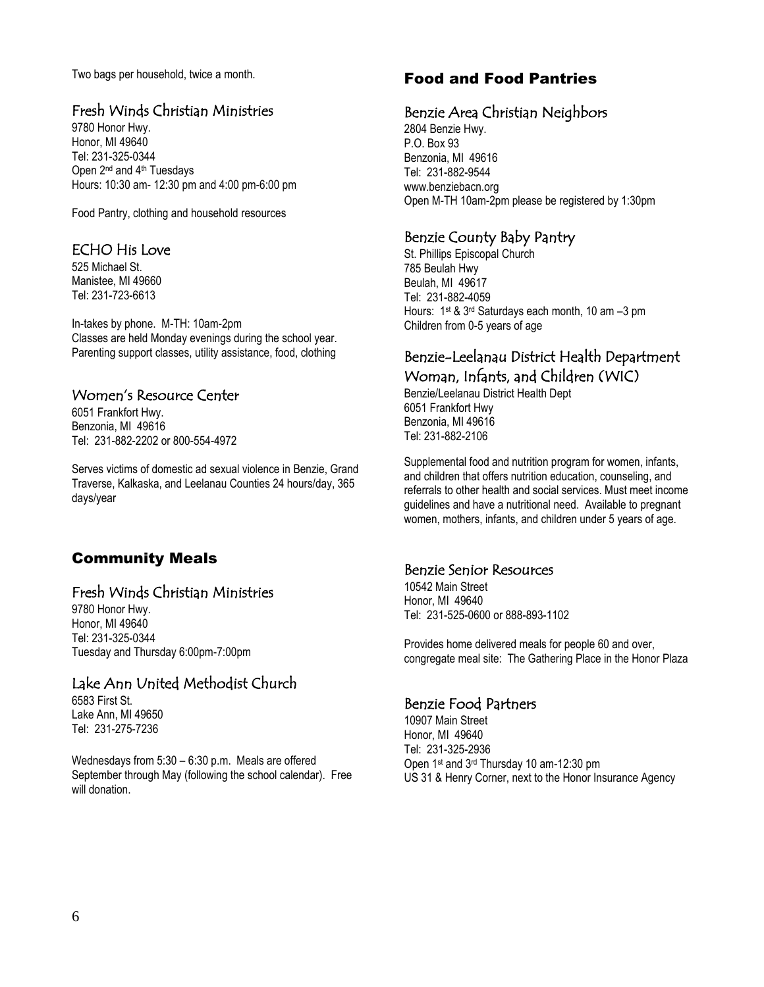Two bags per household, twice a month.

#### Fresh Winds Christian Ministries

9780 Honor Hwy. Honor, MI 49640 Tel: 231-325-0344 Open 2<sup>nd</sup> and 4<sup>th</sup> Tuesdays Hours: 10:30 am- 12:30 pm and 4:00 pm-6:00 pm

Food Pantry, clothing and household resources

#### ECHO His Love

525 Michael St. Manistee, MI 49660 Tel: 231-723-6613

In-takes by phone. M-TH: 10am-2pm Classes are held Monday evenings during the school year. Parenting support classes, utility assistance, food, clothing

#### Women's Resource Center

6051 Frankfort Hwy. Benzonia, MI 49616 Tel: 231-882-2202 or 800-554-4972

Serves victims of domestic ad sexual violence in Benzie, Grand Traverse, Kalkaska, and Leelanau Counties 24 hours/day, 365 days/year

# Community Meals

#### Fresh Winds Christian Ministries

9780 Honor Hwy. Honor, MI 49640 Tel: 231-325-0344 Tuesday and Thursday 6:00pm-7:00pm

# Lake Ann United Methodist Church

6583 First St. Lake Ann, MI 49650 Tel: 231-275-7236

Wednesdays from 5:30 – 6:30 p.m. Meals are offered September through May (following the school calendar). Free will donation.

# Food and Food Pantries

#### Benzie Area Christian Neighbors

2804 Benzie Hwy. P.O. Box 93 Benzonia, MI 49616 Tel: 231-882-9544 www.benziebacn.org Open M-TH 10am-2pm please be registered by 1:30pm

#### Benzie County Baby Pantry

St. Phillips Episcopal Church 785 Beulah Hwy Beulah, MI 49617 Tel: 231-882-4059 Hours: 1st & 3rd Saturdays each month, 10 am –3 pm Children from 0-5 years of age

# Benzie-Leelanau District Health Department Woman, Infants, and Children (WIC)

Benzie/Leelanau District Health Dept 6051 Frankfort Hwy Benzonia, MI 49616 Tel: 231-882-2106

Supplemental food and nutrition program for women, infants, and children that offers nutrition education, counseling, and referrals to other health and social services. Must meet income guidelines and have a nutritional need. Available to pregnant women, mothers, infants, and children under 5 years of age.

#### Benzie Senior Resources

10542 Main Street Honor, MI 49640 Tel: 231-525-0600 or 888-893-1102

Provides home delivered meals for people 60 and over, congregate meal site: The Gathering Place in the Honor Plaza

#### Benzie Food Partners

10907 Main Street Honor, MI 49640 Tel: 231-325-2936 Open 1st and 3rd Thursday 10 am-12:30 pm US 31 & Henry Corner, next to the Honor Insurance Agency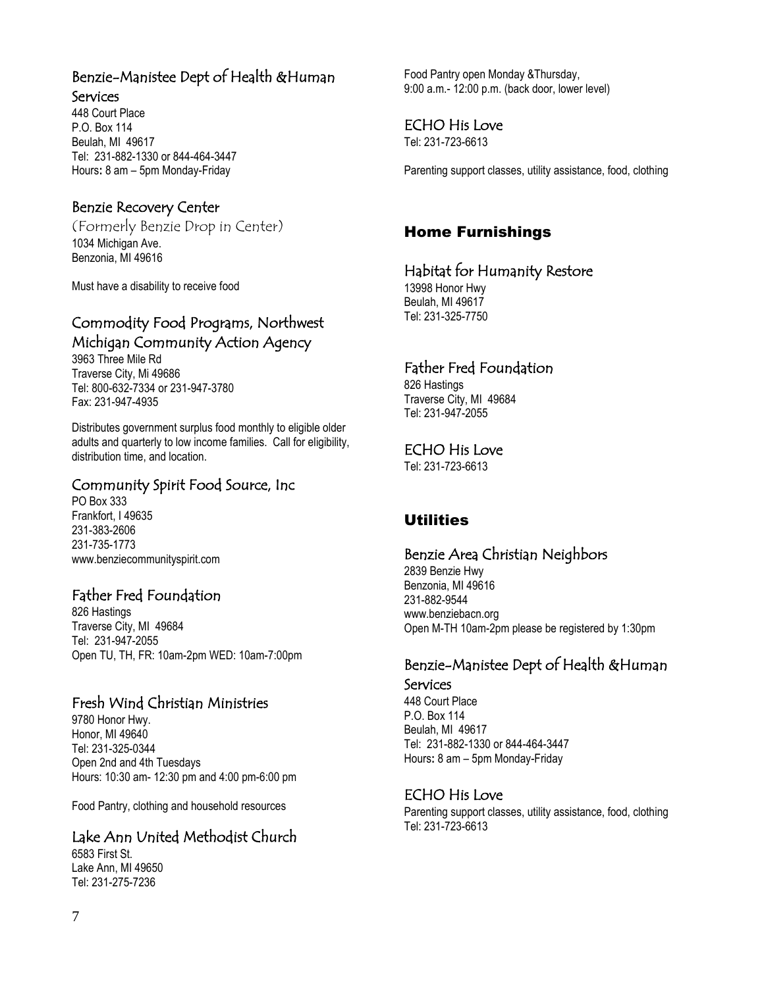# Benzie-Manistee Dept of Health &Human

#### Services

448 Court Place P.O. Box 114 Beulah, MI 49617 Tel: 231-882-1330 or 844-464-3447 Hours**:** 8 am – 5pm Monday-Friday

#### Benzie Recovery Center

(Formerly Benzie Drop in Center) 1034 Michigan Ave. Benzonia, MI 49616

Must have a disability to receive food

# Commodity Food Programs, Northwest Michigan Community Action Agency

3963 Three Mile Rd Traverse City, Mi 49686 Tel: 800-632-7334 or 231-947-3780 Fax: 231-947-4935

Distributes government surplus food monthly to eligible older adults and quarterly to low income families. Call for eligibility, distribution time, and location.

#### Community Spirit Food Source, Inc

PO Box 333 Frankfort, I 49635 231-383-2606 231-735-1773 www.benziecommunityspirit.com

#### Father Fred Foundation

826 Hastings Traverse City, MI 49684 Tel: 231-947-2055 Open TU, TH, FR: 10am-2pm WED: 10am-7:00pm

#### Fresh Wind Christian Ministries

9780 Honor Hwy. Honor, MI 49640 Tel: 231-325-0344 Open 2nd and 4th Tuesdays Hours: 10:30 am- 12:30 pm and 4:00 pm-6:00 pm

Food Pantry, clothing and household resources

# Lake Ann United Methodist Church

6583 First St. Lake Ann, MI 49650 Tel: 231-275-7236

Food Pantry open Monday &Thursday, 9:00 a.m.- 12:00 p.m. (back door, lower level)

#### ECHO His Love

Tel: 231-723-6613

Parenting support classes, utility assistance, food, clothing

# Home Furnishings

#### Habitat for Humanity Restore

13998 Honor Hwy Beulah, MI 49617 Tel: 231-325-7750

# Father Fred Foundation

826 Hastings Traverse City, MI 49684 Tel: 231-947-2055

#### ECHO His Love

Tel: 231-723-6613

# **Utilities**

#### Benzie Area Christian Neighbors

2839 Benzie Hwy Benzonia, MI 49616 231-882-9544 www.benziebacn.org Open M-TH 10am-2pm please be registered by 1:30pm

# Benzie-Manistee Dept of Health &Human

Services 448 Court Place P.O. Box 114 Beulah, MI 49617 Tel: 231-882-1330 or 844-464-3447 Hours**:** 8 am – 5pm Monday-Friday

#### ECHO His Love

Parenting support classes, utility assistance, food, clothing Tel: 231-723-6613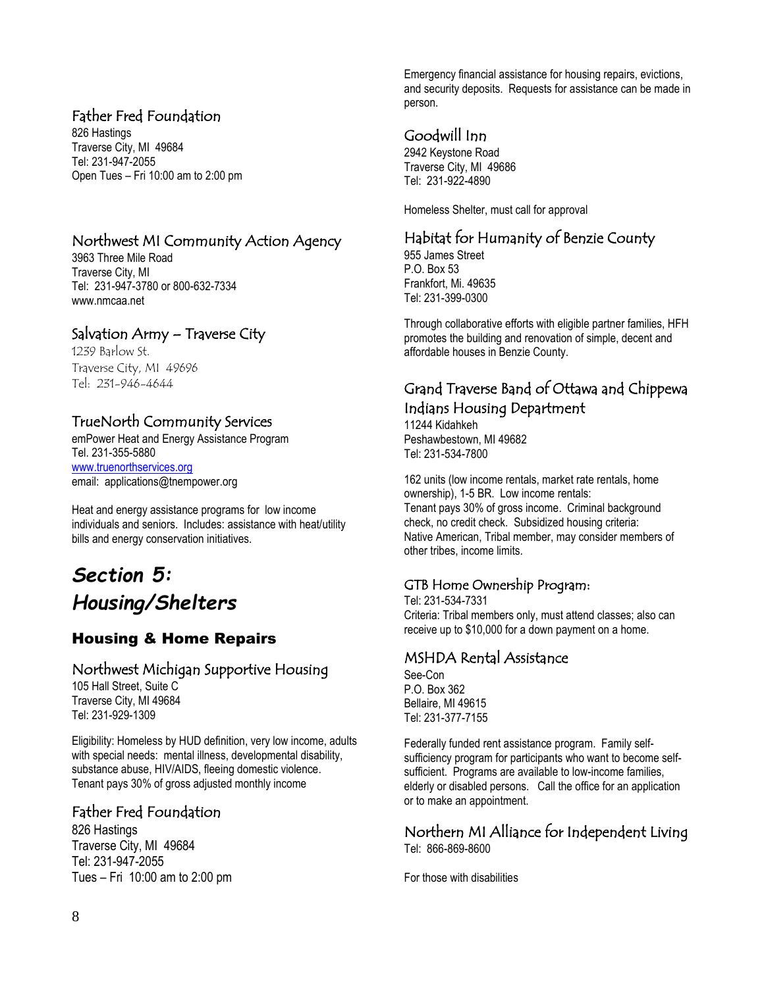# Father Fred Foundation

826 Hastings Traverse City, MI 49684 Tel: 231-947-2055 Open Tues – Fri 10:00 am to 2:00 pm

# Northwest MI Community Action Agency

3963 Three Mile Road Traverse City, MI Tel: 231-947-3780 or 800-632-7334 www.nmcaa.net

# Salvation Army – Traverse City

1239 Barlow St. Traverse City, MI 49696 Tel: 231-946-4644

# TrueNorth Community Services

emPower Heat and Energy Assistance Program Tel. 231-355-5880 [www.truenorthservices.org](http://www.truenorthservices.org/) email: applications@tnempower.org

Heat and energy assistance programs for low income individuals and seniors. Includes: assistance with heat/utility bills and energy conservation initiatives.

# *Section 5: Housing/Shelters*

# Housing & Home Repairs

#### Northwest Michigan Supportive Housing

105 Hall Street, Suite C Traverse City, MI 49684 Tel: 231-929-1309

Eligibility: Homeless by HUD definition, very low income, adults with special needs: mental illness, developmental disability, substance abuse, HIV/AIDS, fleeing domestic violence. Tenant pays 30% of gross adjusted monthly income

# Father Fred Foundation

826 Hastings Traverse City, MI 49684 Tel: 231-947-2055 Tues – Fri 10:00 am to 2:00 pm

Emergency financial assistance for housing repairs, evictions, and security deposits. Requests for assistance can be made in person.

# Goodwill Inn

2942 Keystone Road Traverse City, MI 49686 Tel: 231-922-4890

Homeless Shelter, must call for approval

# Habitat for Humanity of Benzie County

955 James Street P.O. Box 53 Frankfort, Mi. 49635 Tel: 231-399-0300

Through collaborative efforts with eligible partner families, HFH promotes the building and renovation of simple, decent and affordable houses in Benzie County.

# Grand Traverse Band of Ottawa and Chippewa Indians Housing Department

11244 Kidahkeh Peshawbestown, MI 49682 Tel: 231-534-7800

162 units (low income rentals, market rate rentals, home ownership), 1-5 BR. Low income rentals: Tenant pays 30% of gross income. Criminal background check, no credit check. Subsidized housing criteria: Native American, Tribal member, may consider members of other tribes, income limits.

# GTB Home Ownership Program:

Tel: 231-534-7331 Criteria: Tribal members only, must attend classes; also can receive up to \$10,000 for a down payment on a home.

#### MSHDA Rental Assistance

See-Con P.O. Box 362 Bellaire, MI 49615 Tel: 231-377-7155

Federally funded rent assistance program. Family selfsufficiency program for participants who want to become selfsufficient. Programs are available to low-income families, elderly or disabled persons. Call the office for an application or to make an appointment.

#### Northern MI Alliance for Independent Living Tel: 866-869-8600

For those with disabilities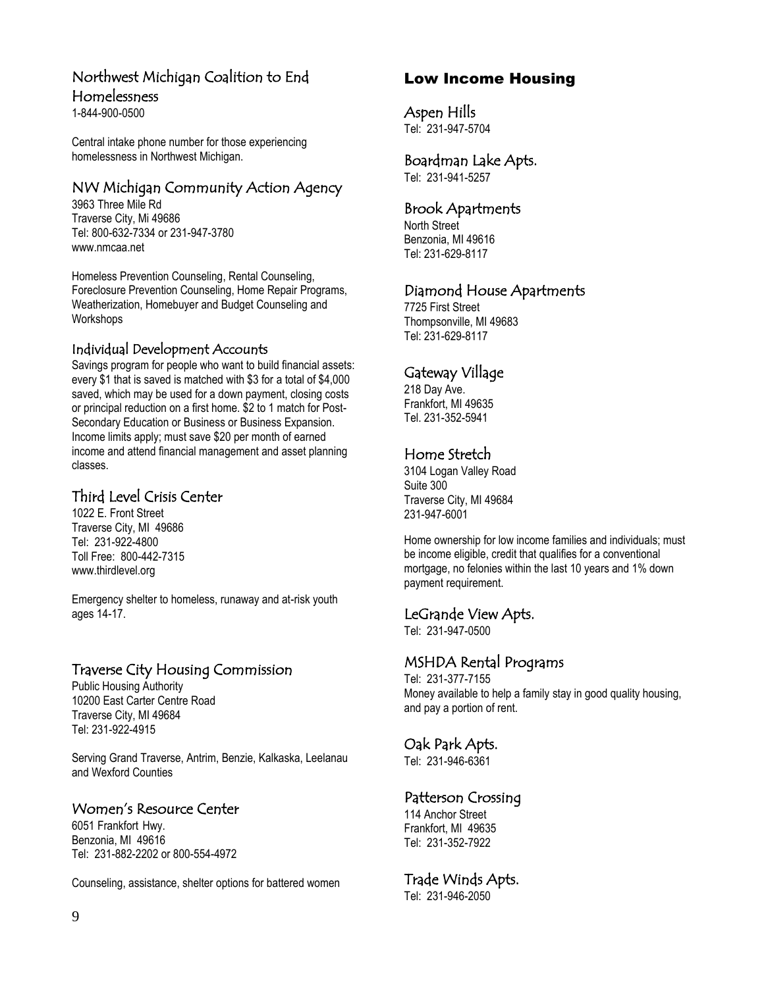# Northwest Michigan Coalition to End

#### Homelessness

1-844-900-0500

Central intake phone number for those experiencing homelessness in Northwest Michigan.

# NW Michigan Community Action Agency

3963 Three Mile Rd Traverse City, Mi 49686 Tel: 800-632-7334 or 231-947-3780 www.nmcaa.net

Homeless Prevention Counseling, Rental Counseling, Foreclosure Prevention Counseling, Home Repair Programs, Weatherization, Homebuyer and Budget Counseling and **Workshops** 

#### Individual Development Accounts

Savings program for people who want to build financial assets: every \$1 that is saved is matched with \$3 for a total of \$4,000 saved, which may be used for a down payment, closing costs or principal reduction on a first home. \$2 to 1 match for Post-Secondary Education or Business or Business Expansion. Income limits apply; must save \$20 per month of earned income and attend financial management and asset planning classes.

# Third Level Crisis Center

1022 E. Front Street Traverse City, MI 49686 Tel: 231-922-4800 Toll Free: 800-442-7315 www.thirdlevel.org

Emergency shelter to homeless, runaway and at-risk youth ages 14-17.

# Traverse City Housing Commission

Public Housing Authority 10200 East Carter Centre Road Traverse City, MI 49684 Tel: 231-922-4915

Serving Grand Traverse, Antrim, Benzie, Kalkaska, Leelanau and Wexford Counties

# Women's Resource Center

6051 Frankfort Hwy. Benzonia, MI 49616 Tel: 231-882-2202 or 800-554-4972

Counseling, assistance, shelter options for battered women

# Low Income Housing

Aspen Hills

Tel: 231-947-5704

#### Boardman Lake Apts.

Tel: 231-941-5257

#### Brook Apartments

North Street Benzonia, MI 49616 Tel: 231-629-8117

# Diamond House Apartments

7725 First Street Thompsonville, MI 49683 Tel: 231-629-8117

# Gateway Village

218 Day Ave. Frankfort, MI 49635 Tel. 231-352-5941

# Home Stretch

3104 Logan Valley Road Suite 300 Traverse City, MI 49684 231-947-6001

Home ownership for low income families and individuals; must be income eligible, credit that qualifies for a conventional mortgage, no felonies within the last 10 years and 1% down payment requirement.

#### LeGrande View Apts.

Tel: 231-947-0500

# MSHDA Rental Programs

Tel: 231-377-7155 Money available to help a family stay in good quality housing, and pay a portion of rent.

# Oak Park Apts.

Tel: 231-946-6361

# Patterson Crossing

114 Anchor Street Frankfort, MI 49635 Tel: 231-352-7922

# Trade Winds Apts.

Tel: 231-946-2050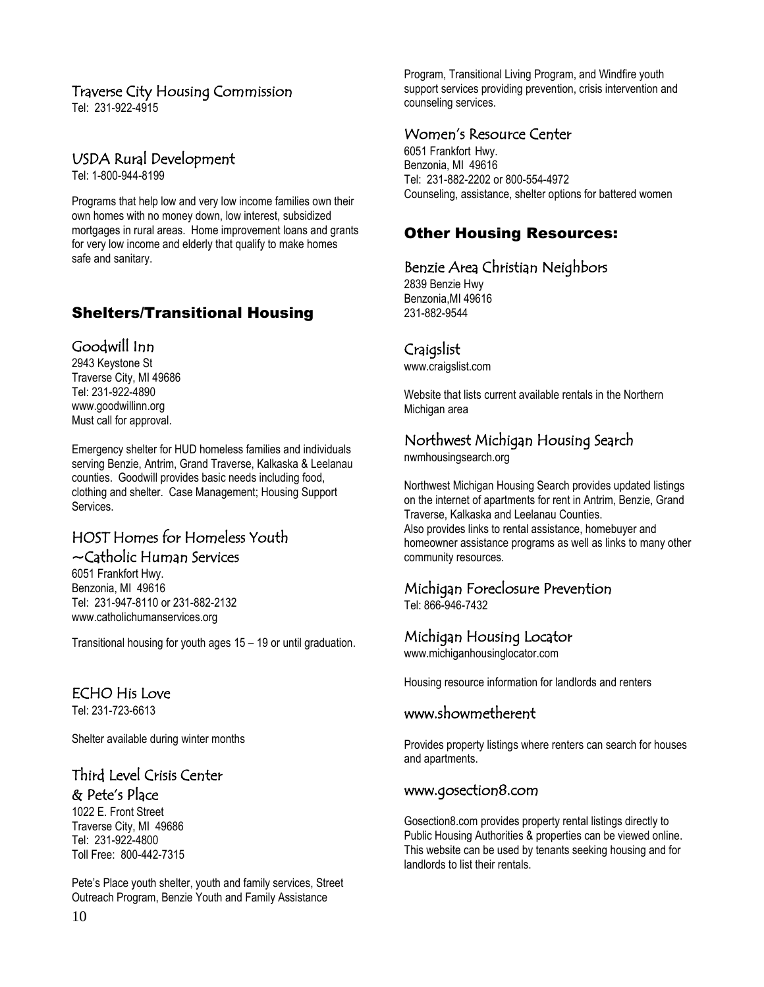#### Traverse City Housing Commission

Tel: 231-922-4915

# USDA Rural Development

Tel: 1-800-944-8199

Programs that help low and very low income families own their own homes with no money down, low interest, subsidized mortgages in rural areas. Home improvement loans and grants for very low income and elderly that qualify to make homes safe and sanitary.

# Shelters/Transitional Housing

#### Goodwill Inn

2943 Keystone St Traverse City, MI 49686 Tel: 231-922-4890 [www.goodwillinn.org](http://www.goodwillinn.org/) Must call for approval.

Emergency shelter for HUD homeless families and individuals serving Benzie, Antrim, Grand Traverse, Kalkaska & Leelanau counties. Goodwill provides basic needs including food, clothing and shelter. Case Management; Housing Support Services.

# HOST Homes for Homeless Youth ~Catholic Human Services

6051 Frankfort Hwy. Benzonia, MI 49616 Tel: 231-947-8110 or 231-882-2132 www.catholichumanservices.org

Transitional housing for youth ages 15 – 19 or until graduation.

# ECHO His Love

Tel: 231-723-6613

Shelter available during winter months

#### Third Level Crisis Center & Pete's Place

1022 E. Front Street Traverse City, MI 49686 Tel: 231-922-4800 Toll Free: 800-442-7315

Pete's Place youth shelter, youth and family services, Street Outreach Program, Benzie Youth and Family Assistance

Program, Transitional Living Program, and Windfire youth support services providing prevention, crisis intervention and counseling services.

#### Women's Resource Center

6051 Frankfort Hwy. Benzonia, MI 49616 Tel: 231-882-2202 or 800-554-4972 Counseling, assistance, shelter options for battered women

# Other Housing Resources:

#### Benzie Area Christian Neighbors

2839 Benzie Hwy Benzonia,MI 49616 231-882-9544

#### Craigslist

[www.craigslist.com](http://www.craigslist.com/)

Website that lists current available rentals in the Northern Michigan area

# Northwest Michigan Housing Search

[nwmhousingsearch.org](http://www.nwmhousingsearch.org/)

Northwest Michigan Housing Search provides updated listings on the internet of apartments for rent in Antrim, Benzie, Grand Traverse, Kalkaska and Leelanau Counties. Also provides links to rental assistance, homebuyer and homeowner assistance programs as well as links to many other community resources.

# Michigan Foreclosure Prevention

Tel: 866-946-7432

# Michigan Housing Locator

[www.michiganhousinglocator.com](http://www.michiganhousinglocator.com/)

Housing resource information for landlords and renters

#### www.showmetherent

Provides property listings where renters can search for houses and apartments.

#### [www.gosection8.com](http://www.gosection8.com/)

Gosection8.com provides property rental listings directly to Public Housing Authorities & properties can be viewed online. This website can be used by tenants seeking housing and for landlords to list their rentals.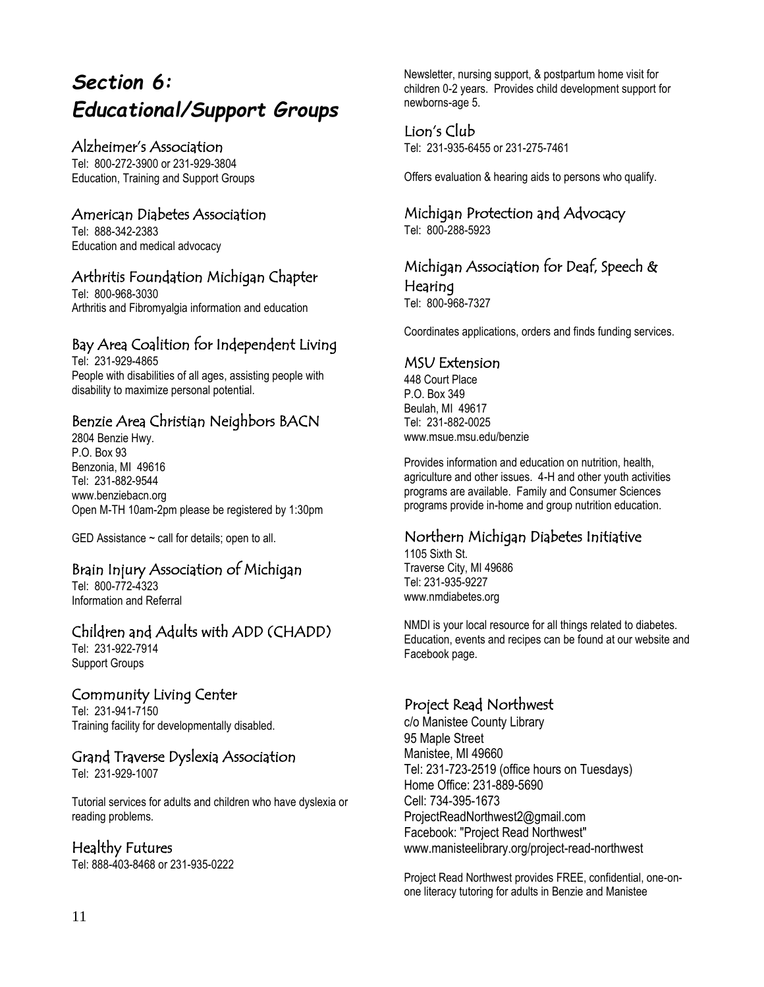# *Section 6: Educational/Support Groups*

#### Alzheimer's Association

Tel: 800-272-3900 or 231-929-3804 Education, Training and Support Groups

# American Diabetes Association

Tel: 888-342-2383 Education and medical advocacy

# Arthritis Foundation Michigan Chapter

Tel: 800-968-3030 Arthritis and Fibromyalgia information and education

# Bay Area Coalition for Independent Living

Tel: 231-929-4865 People with disabilities of all ages, assisting people with disability to maximize personal potential.

# Benzie Area Christian Neighbors BACN

2804 Benzie Hwy. P.O. Box 93 Benzonia, MI 49616 Tel: 231-882-9544 www.benziebacn.org Open M-TH 10am-2pm please be registered by 1:30pm

GED Assistance  $\sim$  call for details; open to all.

# Brain Injury Association of Michigan

Tel: 800-772-4323 Information and Referral

# Children and Adults with ADD (CHADD)

Tel: 231-922-7914 Support Groups

# Community Living Center

Tel: 231-941-7150 Training facility for developmentally disabled.

# Grand Traverse Dyslexia Association

Tel: 231-929-1007

Tutorial services for adults and children who have dyslexia or reading problems.

#### Healthy Futures

Tel: 888-403-8468 or 231-935-0222

Newsletter, nursing support, & postpartum home visit for children 0-2 years. Provides child development support for newborns-age 5.

#### Lion's Club

Tel: 231-935-6455 or 231-275-7461

Offers evaluation & hearing aids to persons who qualify.

# Michigan Protection and Advocacy

Tel: 800-288-5923

#### Michigan Association for Deaf, Speech & Hearing

Tel: 800-968-7327

Coordinates applications, orders and finds funding services.

#### MSU Extension

448 Court Place P.O. Box 349 Beulah, MI 49617 Tel: 231-882-0025 [www.msue.msu.edu/benzie](http://www.msue.msu.edu/benzie)

Provides information and education on nutrition, health, agriculture and other issues. 4-H and other youth activities programs are available. Family and Consumer Sciences programs provide in-home and group nutrition education.

# Northern Michigan Diabetes Initiative

1105 Sixth St. Traverse City, MI 49686 Tel: 231-935-9227 www.nmdiabetes.org

NMDI is your local resource for all things related to diabetes. Education, events and recipes can be found at our website and Facebook page.

# Project Read Northwest

c/o Manistee County Library 95 Maple Street Manistee, MI 49660 Tel: 231-723-2519 (office hours on Tuesdays) Home Office: 231-889-5690 Cell: 734-395-1673 ProjectReadNorthwest2@gmail.com Facebook: "Project Read Northwest" www.manisteelibrary.org/project-read-northwest

Project Read Northwest provides FREE, confidential, one-onone literacy tutoring for adults in Benzie and Manistee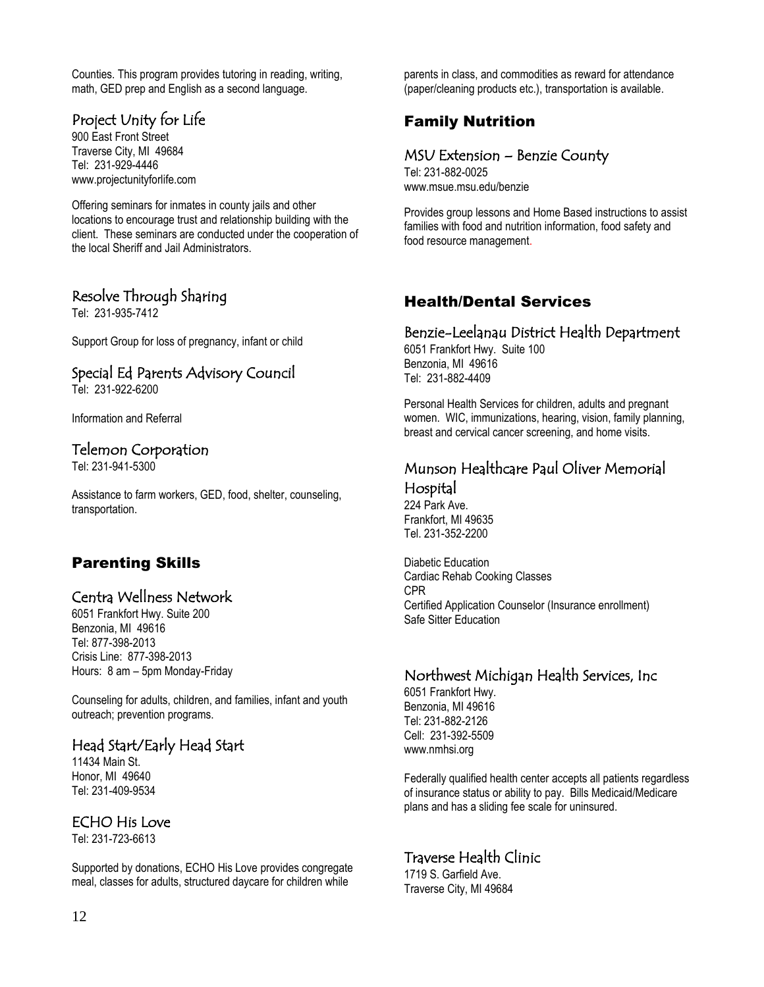Counties. This program provides tutoring in reading, writing, math, GED prep and English as a second language.

# Project Unity for Life

900 East Front Street Traverse City, MI 49684 Tel: 231-929-4446 www.projectunityforlife.com

Offering seminars for inmates in county jails and other locations to encourage trust and relationship building with the client. These seminars are conducted under the cooperation of the local Sheriff and Jail Administrators.

# Resolve Through Sharing

Tel: 231-935-7412

Support Group for loss of pregnancy, infant or child

# Special Ed Parents Advisory Council

Tel: 231-922-6200

Information and Referral

#### Telemon Corporation

Tel: 231-941-5300

Assistance to farm workers, GED, food, shelter, counseling, transportation.

# Parenting Skills

#### Centra Wellness Network

6051 Frankfort Hwy. Suite 200 Benzonia, MI 49616 Tel: 877-398-2013 Crisis Line: 877-398-2013 Hours: 8 am – 5pm Monday-Friday

Counseling for adults, children, and families, infant and youth outreach; prevention programs.

# Head Start/Early Head Start

11434 Main St. Honor, MI 49640 Tel: 231-409-9534

#### ECHO His Love

Tel: 231-723-6613

Supported by donations, ECHO His Love provides congregate meal, classes for adults, structured daycare for children while

parents in class, and commodities as reward for attendance (paper/cleaning products etc.), transportation is available.

# Family Nutrition

#### MSU Extension – Benzie County

Tel: 231-882-0025 [www.msue.msu.edu/benzie](http://www.msue.msu.edu/benzie)

Provides group lessons and Home Based instructions to assist families with food and nutrition information, food safety and food resource management.

# Health/Dental Services

#### Benzie-Leelanau District Health Department

6051 Frankfort Hwy. Suite 100 Benzonia, MI 49616 Tel: 231-882-4409

Personal Health Services for children, adults and pregnant women. WIC, immunizations, hearing, vision, family planning, breast and cervical cancer screening, and home visits.

#### Munson Healthcare Paul Oliver Memorial Hospital

224 Park Ave. Frankfort, MI 49635 Tel. 231-352-2200

Diabetic Education Cardiac Rehab Cooking Classes CPR Certified Application Counselor (Insurance enrollment) Safe Sitter Education

# Northwest Michigan Health Services, Inc

6051 Frankfort Hwy. Benzonia, MI 49616 Tel: 231-882-2126 Cell: 231-392-5509 www.nmhsi.org

Federally qualified health center accepts all patients regardless of insurance status or ability to pay. Bills Medicaid/Medicare plans and has a sliding fee scale for uninsured.

# Traverse Health Clinic

1719 S. Garfield Ave. Traverse City, MI 49684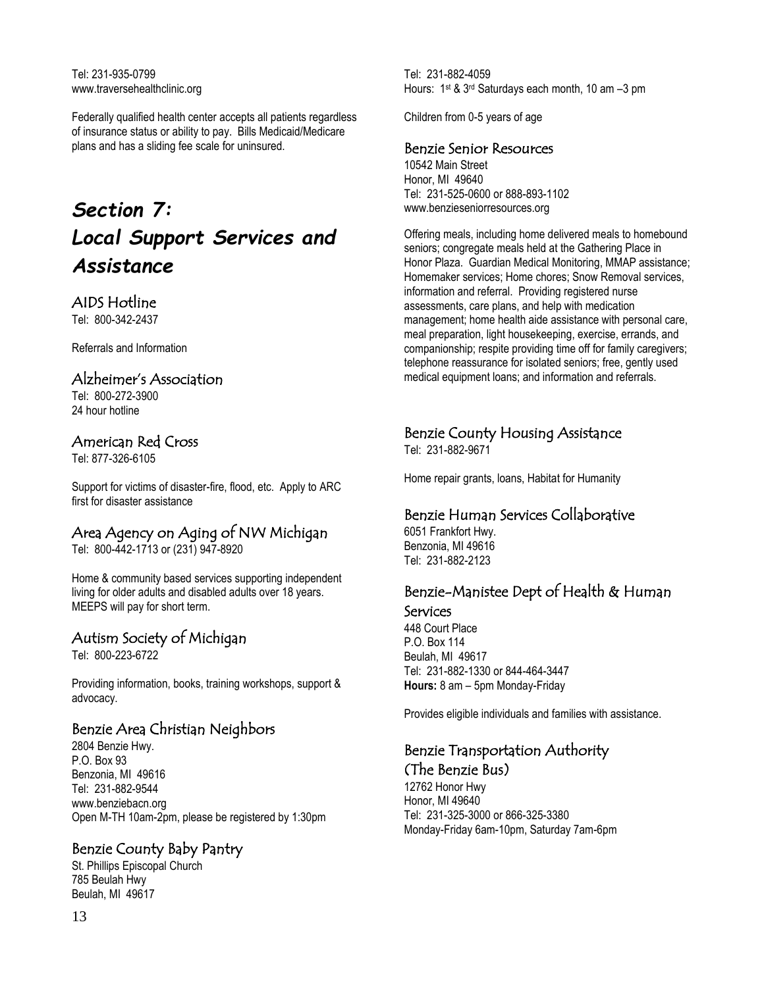Tel: 231-935-0799 www.traversehealthclinic.org

Federally qualified health center accepts all patients regardless of insurance status or ability to pay. Bills Medicaid/Medicare plans and has a sliding fee scale for uninsured.

# *Section 7: Local Support Services and Assistance*

# AIDS Hotline

Tel: 800-342-2437

Referrals and Information

#### Alzheimer's Association

Tel: 800-272-3900 24 hour hotline

#### American Red Cross

Tel: 877-326-6105

Support for victims of disaster-fire, flood, etc. Apply to ARC first for disaster assistance

# Area Agency on Aging of NW Michigan

Tel: 800-442-1713 or (231) 947-8920

Home & community based services supporting independent living for older adults and disabled adults over 18 years. MEEPS will pay for short term.

# Autism Society of Michigan

Tel: 800-223-6722

Providing information, books, training workshops, support & advocacy.

# Benzie Area Christian Neighbors

2804 Benzie Hwy. P.O. Box 93 Benzonia, MI 49616 Tel: 231-882-9544 www.benziebacn.org Open M-TH 10am-2pm, please be registered by 1:30pm

# Benzie County Baby Pantry

St. Phillips Episcopal Church 785 Beulah Hwy Beulah, MI 49617

Tel: 231-882-4059 Hours: 1<sup>st</sup> & 3<sup>rd</sup> Saturdays each month, 10 am -3 pm

Children from 0-5 years of age

#### Benzie Senior Resources

10542 Main Street Honor, MI 49640 Tel: 231-525-0600 or 888-893-1102 www.benzieseniorresources.org

Offering meals, including home delivered meals to homebound seniors; congregate meals held at the Gathering Place in Honor Plaza. Guardian Medical Monitoring, MMAP assistance; Homemaker services; Home chores; Snow Removal services, information and referral. Providing registered nurse assessments, care plans, and help with medication management; home health aide assistance with personal care, meal preparation, light housekeeping, exercise, errands, and companionship; respite providing time off for family caregivers; telephone reassurance for isolated seniors; free, gently used medical equipment loans; and information and referrals.

#### Benzie County Housing Assistance

Tel: 231-882-9671

Home repair grants, loans, Habitat for Humanity

#### Benzie Human Services Collaborative

6051 Frankfort Hwy. Benzonia, MI 49616 Tel: 231-882-2123

# Benzie-Manistee Dept of Health & Human Services

448 Court Place P.O. Box 114 Beulah, MI 49617 Tel: 231-882-1330 or 844-464-3447 **Hours:** 8 am – 5pm Monday-Friday

Provides eligible individuals and families with assistance.

# Benzie Transportation Authority (The Benzie Bus)

12762 Honor Hwy Honor, MI 49640 Tel: 231-325-3000 or 866-325-3380 Monday-Friday 6am-10pm, Saturday 7am-6pm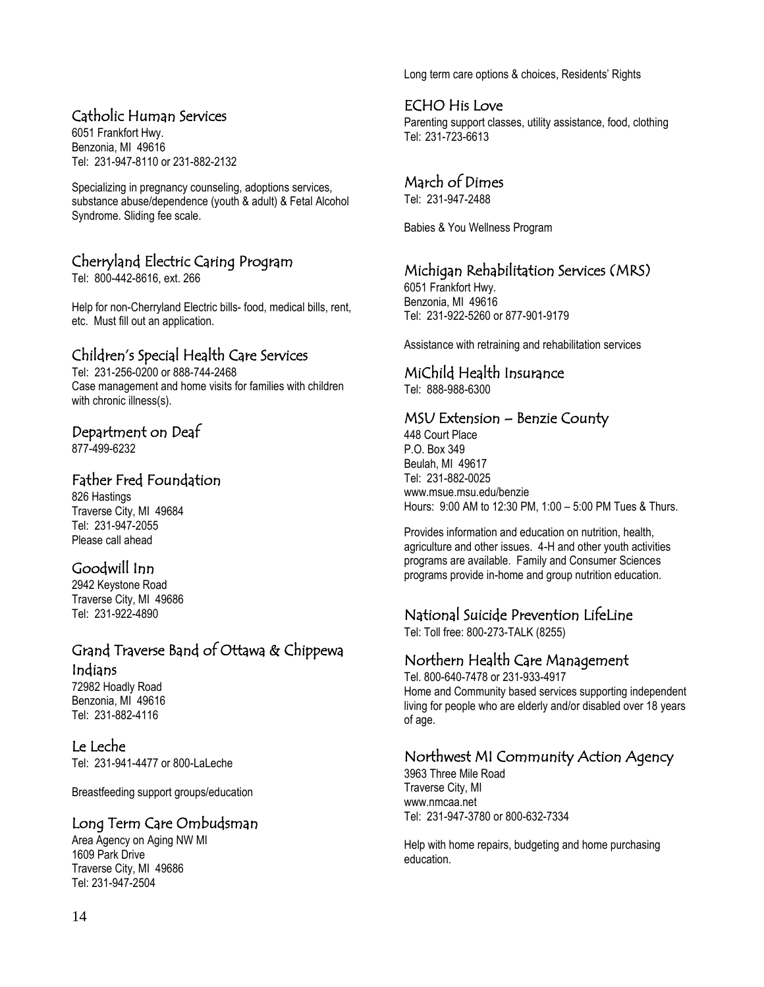# Catholic Human Services

6051 Frankfort Hwy. Benzonia, MI 49616 Tel: 231-947-8110 or 231-882-2132

Specializing in pregnancy counseling, adoptions services, substance abuse/dependence (youth & adult) & Fetal Alcohol Syndrome. Sliding fee scale.

# Cherryland Electric Caring Program

Tel: 800-442-8616, ext. 266

Help for non-Cherryland Electric bills- food, medical bills, rent, etc. Must fill out an application.

# Children's Special Health Care Services

Tel: 231-256-0200 or 888-744-2468 Case management and home visits for families with children with chronic illness(s).

# Department on Deaf

877-499-6232

# Father Fred Foundation

826 Hastings Traverse City, MI 49684 Tel: 231-947-2055 Please call ahead

# Goodwill Inn

2942 Keystone Road Traverse City, MI 49686 Tel: 231-922-4890

# Grand Traverse Band of Ottawa & Chippewa Indians

72982 Hoadly Road Benzonia, MI 49616 Tel: 231-882-4116

# Le Leche

Tel: 231-941-4477 or 800-LaLeche

Breastfeeding support groups/education

#### Long Term Care Ombudsman

Area Agency on Aging NW MI 1609 Park Drive Traverse City, MI 49686 Tel[: 231-947-2504](tel:231-947-2504)

Long term care options & choices, Residents' Rights

# ECHO His Love

Parenting support classes, utility assistance, food, clothing Tel: 231-723-6613

# March of Dimes

Tel: 231-947-2488

Babies & You Wellness Program

# Michigan Rehabilitation Services (MRS)

6051 Frankfort Hwy. Benzonia, MI 49616 Tel: 231-922-5260 or 877-901-9179

Assistance with retraining and rehabilitation services

# MiChild Health Insurance

Tel: 888-988-6300

#### MSU Extension – Benzie County

448 Court Place P.O. Box 349 Beulah, MI 49617 Tel: 231-882-0025 [www.msue.msu.edu/benzie](http://www.msue.msu.edu/benzie) Hours: 9:00 AM to 12:30 PM, 1:00 – 5:00 PM Tues & Thurs.

Provides information and education on nutrition, health, agriculture and other issues. 4-H and other youth activities programs are available. Family and Consumer Sciences programs provide in-home and group nutrition education.

# National Suicide Prevention LifeLine

Tel: Toll free: 800-273-TALK (8255)

#### Northern Health Care Management

Tel. 800-640-7478 or 231-933-4917 Home and Community based services supporting independent living for people who are elderly and/or disabled over 18 years of age.

# Northwest MI Community Action Agency

3963 Three Mile Road Traverse City, MI www.nmcaa.net Tel: 231-947-3780 or 800-632-7334

Help with home repairs, budgeting and home purchasing education.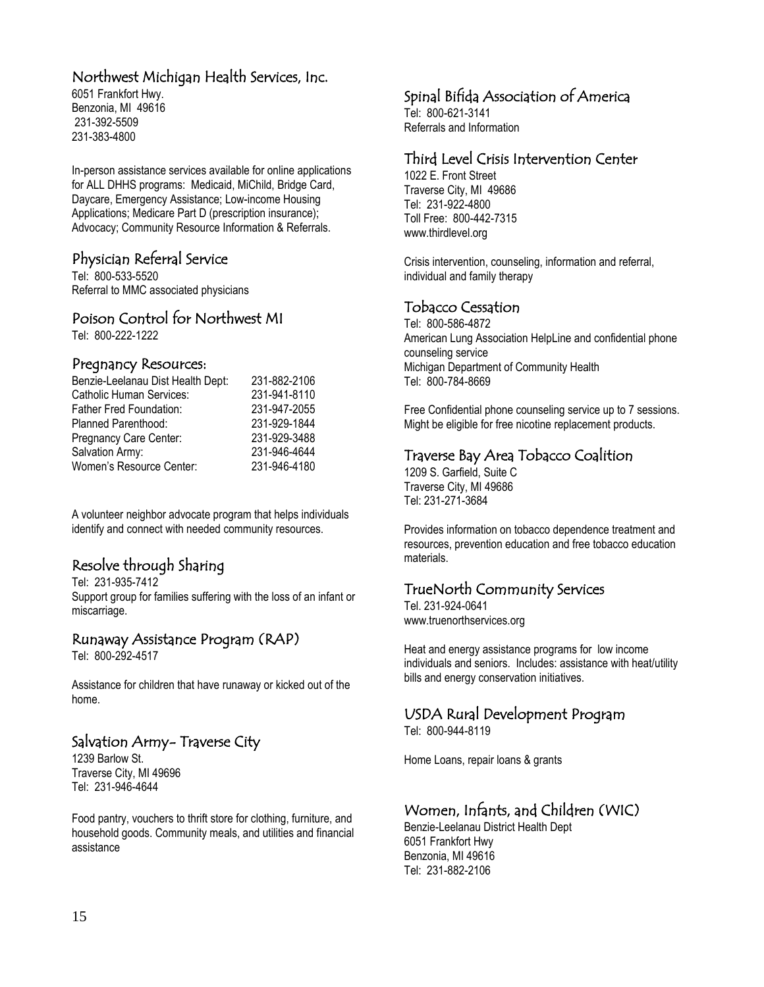# Northwest Michigan Health Services, Inc.

6051 Frankfort Hwy. Benzonia, MI 49616 231-392-5509 231-383-4800

In-person assistance services available for online applications for ALL DHHS programs: Medicaid, MiChild, Bridge Card, Daycare, Emergency Assistance; Low-income Housing Applications; Medicare Part D (prescription insurance); Advocacy; Community Resource Information & Referrals.

# Physician Referral Service

Tel: 800-533-5520 Referral to MMC associated physicians

#### Poison Control for Northwest MI

Tel: 800-222-1222

#### Pregnancy Resources:

| 231-882-2106 |
|--------------|
| 231-941-8110 |
| 231-947-2055 |
| 231-929-1844 |
| 231-929-3488 |
| 231-946-4644 |
| 231-946-4180 |
|              |

A volunteer neighbor advocate program that helps individuals identify and connect with needed community resources.

# Resolve through Sharing

Tel: 231-935-7412 Support group for families suffering with the loss of an infant or miscarriage.

#### Runaway Assistance Program (RAP)

Tel: 800-292-4517

Assistance for children that have runaway or kicked out of the home.

# Salvation Army- Traverse City

1239 Barlow St. Traverse City, MI 49696 Tel: 231-946-4644

Food pantry, vouchers to thrift store for clothing, furniture, and household goods. Community meals, and utilities and financial assistance

# Spinal Bifida Association of America

Tel: 800-621-3141 Referrals and Information

# Third Level Crisis Intervention Center

1022 E. Front Street Traverse City, MI 49686 Tel: 231-922-4800 Toll Free: 800-442-7315 www.thirdlevel.org

Crisis intervention, counseling, information and referral, individual and family therapy

# Tobacco Cessation

Tel: 800-586-4872 American Lung Association HelpLine and confidential phone counseling service Michigan Department of Community Health Tel: 800-784-8669

Free Confidential phone counseling service up to 7 sessions. Might be eligible for free nicotine replacement products.

# Traverse Bay Area Tobacco Coalition

1209 S. Garfield, Suite C Traverse City, MI 49686 Tel: 231-271-3684

Provides information on tobacco dependence treatment and resources, prevention education and free tobacco education materials.

# TrueNorth Community Services

Tel. 231-924-0641 www.truenorthservices.org

Heat and energy assistance programs for low income individuals and seniors. Includes: assistance with heat/utility bills and energy conservation initiatives.

# USDA Rural Development Program

Tel: 800-944-8119

Home Loans, repair loans & grants

# Women, Infants, and Children (WIC)

Benzie-Leelanau District Health Dept 6051 Frankfort Hwy Benzonia, MI 49616 Tel: 231-882-2106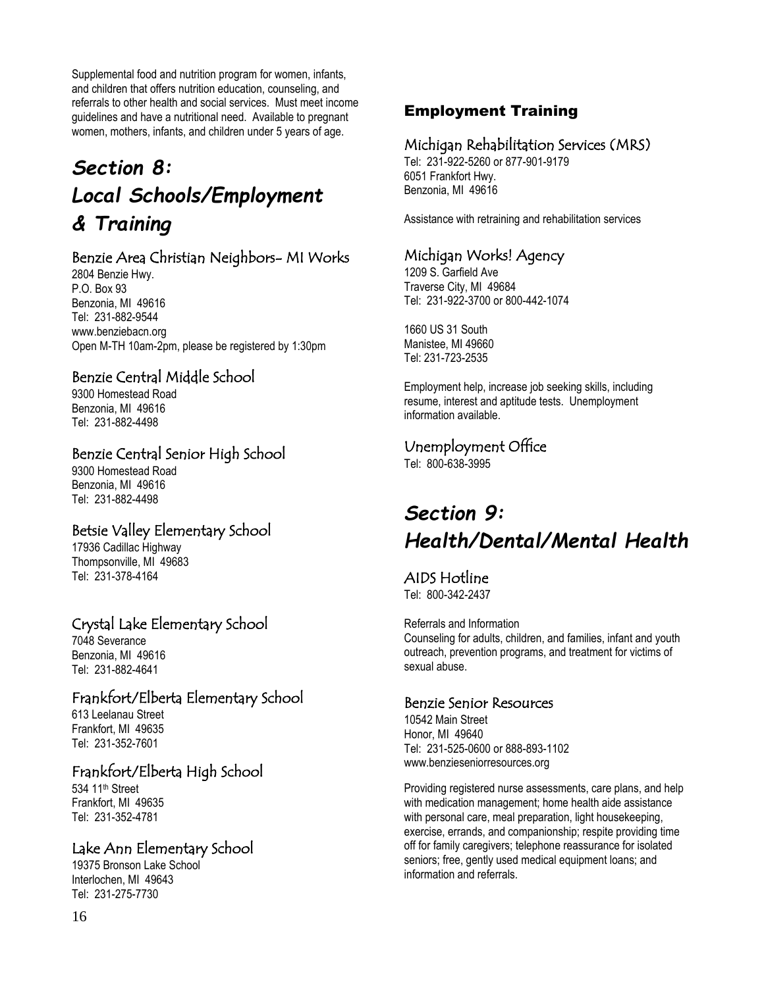Supplemental food and nutrition program for women, infants, and children that offers nutrition education, counseling, and referrals to other health and social services. Must meet income guidelines and have a nutritional need. Available to pregnant women, mothers, infants, and children under 5 years of age.

# *Section 8: Local Schools/Employment & Training*

# Benzie Area Christian Neighbors- MI Works

2804 Benzie Hwy. P.O. Box 93 Benzonia, MI 49616 Tel: 231-882-9544 www.benziebacn.org Open M-TH 10am-2pm, please be registered by 1:30pm

# Benzie Central Middle School

9300 Homestead Road Benzonia, MI 49616 Tel: 231-882-4498

#### Benzie Central Senior High School

9300 Homestead Road Benzonia, MI 49616 Tel: 231-882-4498

# Betsie Valley Elementary School

17936 Cadillac Highway Thompsonville, MI 49683 Tel: 231-378-4164

# Crystal Lake Elementary School

7048 Severance Benzonia, MI 49616 Tel: 231-882-4641

# Frankfort/Elberta Elementary School

613 Leelanau Street Frankfort, MI 49635 Tel: 231-352-7601

# Frankfort/Elberta High School

534 11th Street Frankfort, MI 49635 Tel: 231-352-4781

# Lake Ann Elementary School

19375 Bronson Lake School Interlochen, MI 49643 Tel: 231-275-7730

# Employment Training

#### Michigan Rehabilitation Services (MRS)

Tel: 231-922-5260 or 877-901-9179 6051 Frankfort Hwy. Benzonia, MI 49616

Assistance with retraining and rehabilitation services

# Michigan Works! Agency

1209 S. Garfield Ave Traverse City, MI 49684 Tel: 231-922-3700 or 800-442-1074

1660 US 31 South Manistee, MI 49660 Tel: 231-723-2535

Employment help, increase job seeking skills, including resume, interest and aptitude tests. Unemployment information available.

# Unemployment Office

Tel: 800-638-3995

# *Section 9: Health/Dental/Mental Health*

AIDS Hotline Tel: 800-342-2437

Referrals and Information Counseling for adults, children, and families, infant and youth outreach, prevention programs, and treatment for victims of sexual abuse.

#### Benzie Senior Resources

10542 Main Street Honor, MI 49640 Tel: 231-525-0600 or 888-893-1102 www.benzieseniorresources.org

Providing registered nurse assessments, care plans, and help with medication management; home health aide assistance with personal care, meal preparation, light housekeeping, exercise, errands, and companionship; respite providing time off for family caregivers; telephone reassurance for isolated seniors; free, gently used medical equipment loans; and information and referrals.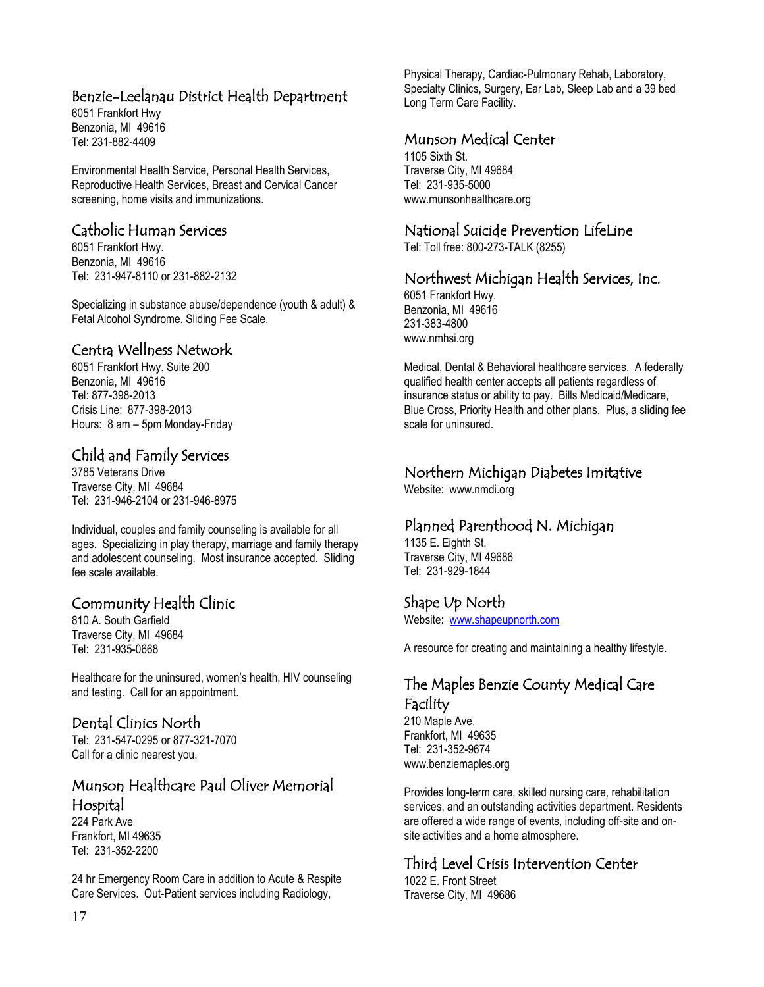# Benzie-Leelanau District Health Department

6051 Frankfort Hwy Benzonia, MI 49616 Tel: 231-882-4409

Environmental Health Service, Personal Health Services, Reproductive Health Services, Breast and Cervical Cancer screening, home visits and immunizations.

# Catholic Human Services

6051 Frankfort Hwy. Benzonia, MI 49616 Tel: 231-947-8110 or 231-882-2132

Specializing in substance abuse/dependence (youth & adult) & Fetal Alcohol Syndrome. Sliding Fee Scale.

#### Centra Wellness Network

6051 Frankfort Hwy. Suite 200 Benzonia, MI 49616 Tel: 877-398-2013 Crisis Line: 877-398-2013 Hours: 8 am – 5pm Monday-Friday

# Child and Family Services

3785 Veterans Drive Traverse City, MI 49684 Tel: 231-946-2104 or 231-946-8975

Individual, couples and family counseling is available for all ages. Specializing in play therapy, marriage and family therapy and adolescent counseling. Most insurance accepted. Sliding fee scale available.

# Community Health Clinic

810 A. South Garfield Traverse City, MI 49684 Tel: 231-935-0668

Healthcare for the uninsured, women's health, HIV counseling and testing. Call for an appointment.

# Dental Clinics North

Tel: 231-547-0295 or 877-321-7070 Call for a clinic nearest you.

# Munson Healthcare Paul Oliver Memorial Hospital

224 Park Ave Frankfort, MI 49635 Tel: 231-352-2200

24 hr Emergency Room Care in addition to Acute & Respite Care Services. Out-Patient services including Radiology,

Physical Therapy, Cardiac-Pulmonary Rehab, Laboratory, Specialty Clinics, Surgery, Ear Lab, Sleep Lab and a 39 bed Long Term Care Facility.

# Munson Medical Center

1105 Sixth St. Traverse City, MI 49684 Tel: 231-935-5000 www.munsonhealthcare.org

# National Suicide Prevention LifeLine

Tel: Toll free: 800-273-TALK (8255)

# Northwest Michigan Health Services, Inc.

6051 Frankfort Hwy. Benzonia, MI 49616 231-383-4800 www.nmhsi.org

Medical, Dental & Behavioral healthcare services. A federally qualified health center accepts all patients regardless of insurance status or ability to pay. Bills Medicaid/Medicare, Blue Cross, Priority Health and other plans. Plus, a sliding fee scale for uninsured.

# Northern Michigan Diabetes Imitative

Website: www.nmdi.org

# Planned Parenthood N. Michigan

1135 E. Eighth St. Traverse City, MI 49686 Tel: 231-929-1844

# Shape Up North

Website: [www.shapeupnorth.com](http://www.shapeupnorth.com/)

A resource for creating and maintaining a healthy lifestyle.

# The Maples Benzie County Medical Care Facility

210 Maple Ave. Frankfort, MI 49635 Tel: 231-352-9674 www.benziemaples.org

Provides long-term care, skilled nursing care, rehabilitation services, and an outstanding activities department. Residents are offered a wide range of events, including off-site and onsite activities and a home atmosphere.

# Third Level Crisis Intervention Center

1022 E. Front Street Traverse City, MI 49686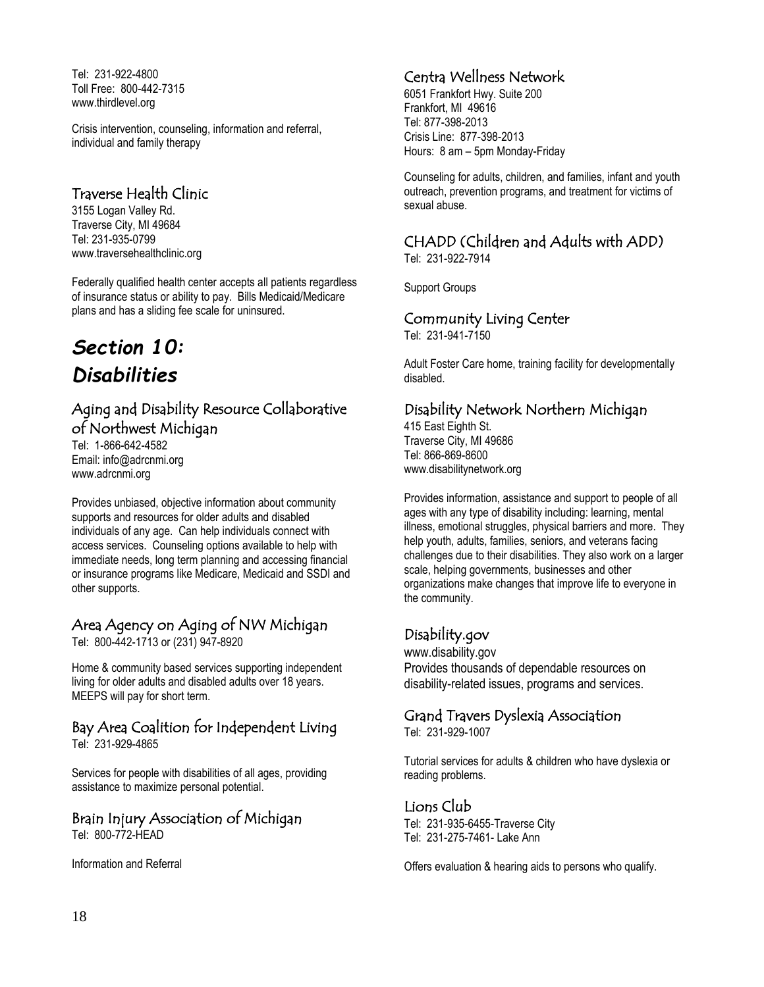Tel: 231-922-4800 Toll Free: 800-442-7315 www.thirdlevel.org

Crisis intervention, counseling, information and referral, individual and family therapy

# Traverse Health Clinic

3155 Logan Valley Rd. Traverse City, MI 49684 Tel: 231-935-0799 www.traversehealthclinic.org

Federally qualified health center accepts all patients regardless of insurance status or ability to pay. Bills Medicaid/Medicare plans and has a sliding fee scale for uninsured.

# *Section 10: Disabilities*

# Aging and Disability Resource Collaborative of Northwest Michigan

Tel: 1-866-642-4582 Email: info@adrcnmi.org www.adrcnmi.org

Provides unbiased, objective information about community supports and resources for older adults and disabled individuals of any age. Can help individuals connect with access services. Counseling options available to help with immediate needs, long term planning and accessing financial or insurance programs like Medicare, Medicaid and SSDI and other supports.

# Area Agency on Aging of NW Michigan

Tel: 800-442-1713 or (231) 947-8920

Home & community based services supporting independent living for older adults and disabled adults over 18 years. MEEPS will pay for short term.

# Bay Area Coalition for Independent Living

Tel: 231-929-4865

Services for people with disabilities of all ages, providing assistance to maximize personal potential.

# Brain Injury Association of Michigan

Tel: 800-772-HEAD

Information and Referral

# Centra Wellness Network

6051 Frankfort Hwy. Suite 200 Frankfort, MI 49616 Tel: 877-398-2013 Crisis Line: 877-398-2013 Hours: 8 am – 5pm Monday-Friday

Counseling for adults, children, and families, infant and youth outreach, prevention programs, and treatment for victims of sexual abuse.

# CHADD (Children and Adults with ADD)

Tel: 231-922-7914

Support Groups

# Community Living Center

Tel: 231-941-7150

Adult Foster Care home, training facility for developmentally disabled.

# Disability Network Northern Michigan

415 East Eighth St. Traverse City, MI 49686 Tel: 866-869-8600 www.disabilitynetwork.org

Provides information, assistance and support to people of all ages with any type of disability including: learning, mental illness, emotional struggles, physical barriers and more. They help youth, adults, families, seniors, and veterans facing challenges due to their disabilities. They also work on a larger scale, helping governments, businesses and other organizations make changes that improve life to everyone in the community.

# Disability.gov

[www.disability.gov](http://www.disability.gov/) Provides thousands of dependable resources on disability-related issues, programs and services.

# Grand Travers Dyslexia Association

Tel: 231-929-1007

Tutorial services for adults & children who have dyslexia or reading problems.

# Lions Club

Tel: 231-935-6455-Traverse City Tel: 231-275-7461- Lake Ann

Offers evaluation & hearing aids to persons who qualify.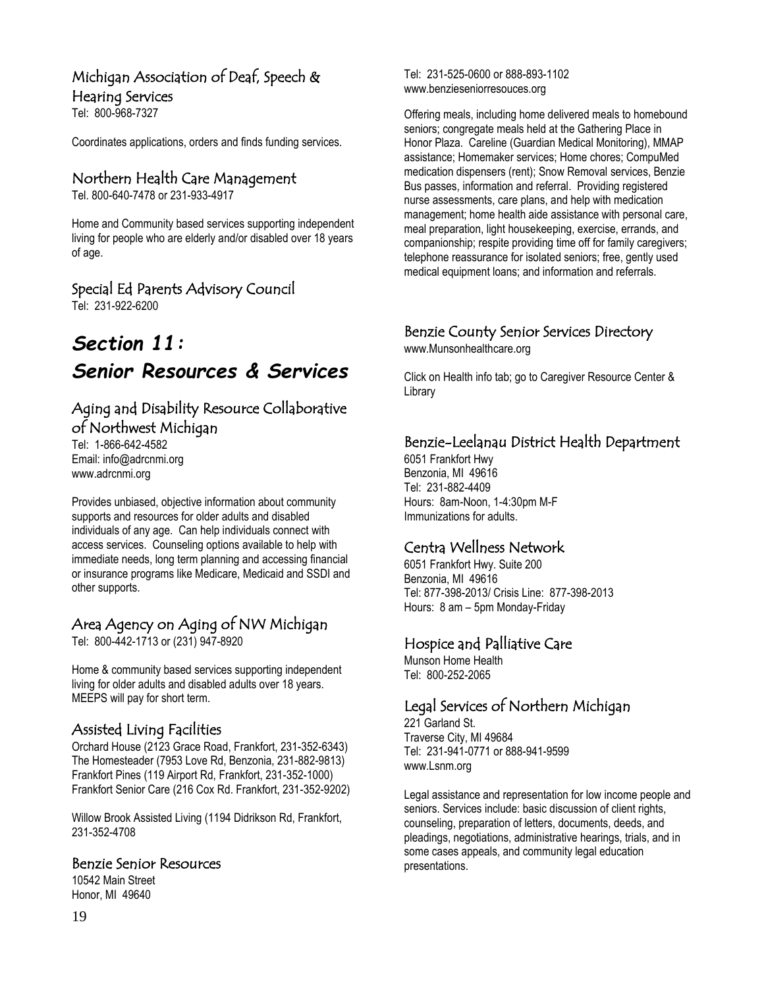# Michigan Association of Deaf, Speech &

#### Hearing Services

Tel: 800-968-7327

Coordinates applications, orders and finds funding services.

# Northern Health Care Management

Tel. 800-640-7478 or 231-933-4917

Home and Community based services supporting independent living for people who are elderly and/or disabled over 18 years of age.

# Special Ed Parents Advisory Council

Tel: 231-922-6200

# *Section 11: Senior Resources & Services*

# Aging and Disability Resource Collaborative of Northwest Michigan

Tel: 1-866-642-4582 Email: info@adrcnmi.org www.adrcnmi.org

Provides unbiased, objective information about community supports and resources for older adults and disabled individuals of any age. Can help individuals connect with access services. Counseling options available to help with immediate needs, long term planning and accessing financial or insurance programs like Medicare, Medicaid and SSDI and other supports.

# Area Agency on Aging of NW Michigan

Tel: 800-442-1713 or (231) 947-8920

Home & community based services supporting independent living for older adults and disabled adults over 18 years. MEEPS will pay for short term.

# Assisted Living Facilities

Orchard House (2123 Grace Road, Frankfort, 231-352-6343) The Homesteader (7953 Love Rd, Benzonia, 231-882-9813) Frankfort Pines (119 Airport Rd, Frankfort, 231-352-1000) Frankfort Senior Care (216 Cox Rd. Frankfort, 231-352-9202)

Willow Brook Assisted Living (1194 Didrikson Rd, Frankfort, 231-352-4708

#### Benzie Senior Resources

10542 Main Street Honor, MI 49640

Tel: 231-525-0600 or 888-893-1102 www.benzieseniorresouces.org

Offering meals, including home delivered meals to homebound seniors; congregate meals held at the Gathering Place in Honor Plaza. Careline (Guardian Medical Monitoring), MMAP assistance; Homemaker services; Home chores; CompuMed medication dispensers (rent); Snow Removal services, Benzie Bus passes, information and referral. Providing registered nurse assessments, care plans, and help with medication management; home health aide assistance with personal care, meal preparation, light housekeeping, exercise, errands, and companionship; respite providing time off for family caregivers; telephone reassurance for isolated seniors; free, gently used medical equipment loans; and information and referrals.

# Benzie County Senior Services Directory

[www.Munsonhealthcare.org](http://www.munsonhealthcare.org/)

Click on Health info tab; go to Caregiver Resource Center & Library

# Benzie-Leelanau District Health Department

6051 Frankfort Hwy Benzonia, MI 49616 Tel: 231-882-4409 Hours: 8am-Noon, 1-4:30pm M-F Immunizations for adults.

# Centra Wellness Network

6051 Frankfort Hwy. Suite 200 Benzonia, MI 49616 Tel: 877-398-2013/ Crisis Line: 877-398-2013 Hours: 8 am – 5pm Monday-Friday

# Hospice and Palliative Care

Munson Home Health Tel: 800-252-2065

# Legal Services of Northern Michigan

221 Garland St. Traverse City, MI 49684 Tel: 231-941-0771 or 888-941-9599 www.Lsnm.org

Legal assistance and representation for low income people and seniors. Services include: basic discussion of client rights, counseling, preparation of letters, documents, deeds, and pleadings, negotiations, administrative hearings, trials, and in some cases appeals, and community legal education presentations.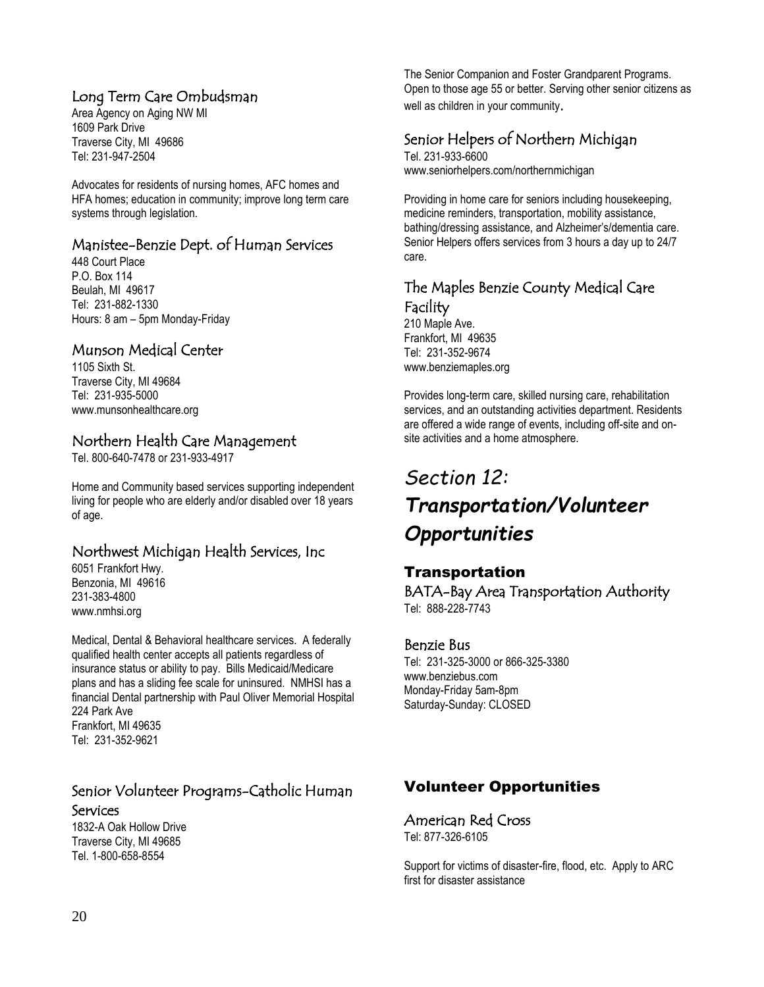# Long Term Care Ombudsman

Area Agency on Aging NW MI 1609 Park Drive Traverse City, MI 49686 Tel[: 231-947-2504](tel:231-947-2504)

Advocates for residents of nursing homes, AFC homes and HFA homes; education in community; improve long term care systems through legislation.

# Manistee-Benzie Dept. of Human Services

448 Court Place P.O. Box 114 Beulah, MI 49617 Tel: 231-882-1330 Hours: 8 am – 5pm Monday-Friday

# Munson Medical Center

1105 Sixth St. Traverse City, MI 49684 Tel: 231-935-5000 www.munsonhealthcare.org

# Northern Health Care Management

Tel. 800-640-7478 or 231-933-4917

Home and Community based services supporting independent living for people who are elderly and/or disabled over 18 years of age.

# Northwest Michigan Health Services, Inc

6051 Frankfort Hwy. Benzonia, MI 49616 231-383-4800 www.nmhsi.org

Medical, Dental & Behavioral healthcare services. A federally qualified health center accepts all patients regardless of insurance status or ability to pay. Bills Medicaid/Medicare plans and has a sliding fee scale for uninsured. NMHSI has a financial Dental partnership with Paul Oliver Memorial Hospital 224 Park Ave Frankfort, MI 49635 Tel: 231-352-9621

# Senior Volunteer Programs-Catholic Human

#### Services

1832-A Oak Hollow Drive Traverse City, MI 49685 Tel[. 1-800-658-8554](tel:1-800-658-8554)

The Senior Companion and Foster Grandparent Programs. Open to those age 55 or better. Serving other senior citizens as well as children in your community.

# Senior Helpers of Northern Michigan

Tel. 231-933-6600 www.seniorhelpers.com/northernmichigan

Providing in home care for seniors including housekeeping, medicine reminders, transportation, mobility assistance, bathing/dressing assistance, and Alzheimer's/dementia care. Senior Helpers offers services from 3 hours a day up to 24/7 care.

# The Maples Benzie County Medical Care Facility

210 Maple Ave. Frankfort, MI 49635 Tel: 231-352-9674 www.benziemaples.org

Provides long-term care, skilled nursing care, rehabilitation services, and an outstanding activities department. Residents are offered a wide range of events, including off-site and onsite activities and a home atmosphere.

# *Section 12: Transportation/Volunteer Opportunities*

# Transportation

BATA-Bay Area Transportation Authority Tel: 888-228-7743

#### Benzie Bus

Tel: 231-325-3000 or 866-325-3380 www.benziebus.com Monday-Friday 5am-8pm Saturday-Sunday: CLOSED

# Volunteer Opportunities

# American Red Cross

Tel: 877-326-6105

Support for victims of disaster-fire, flood, etc. Apply to ARC first for disaster assistance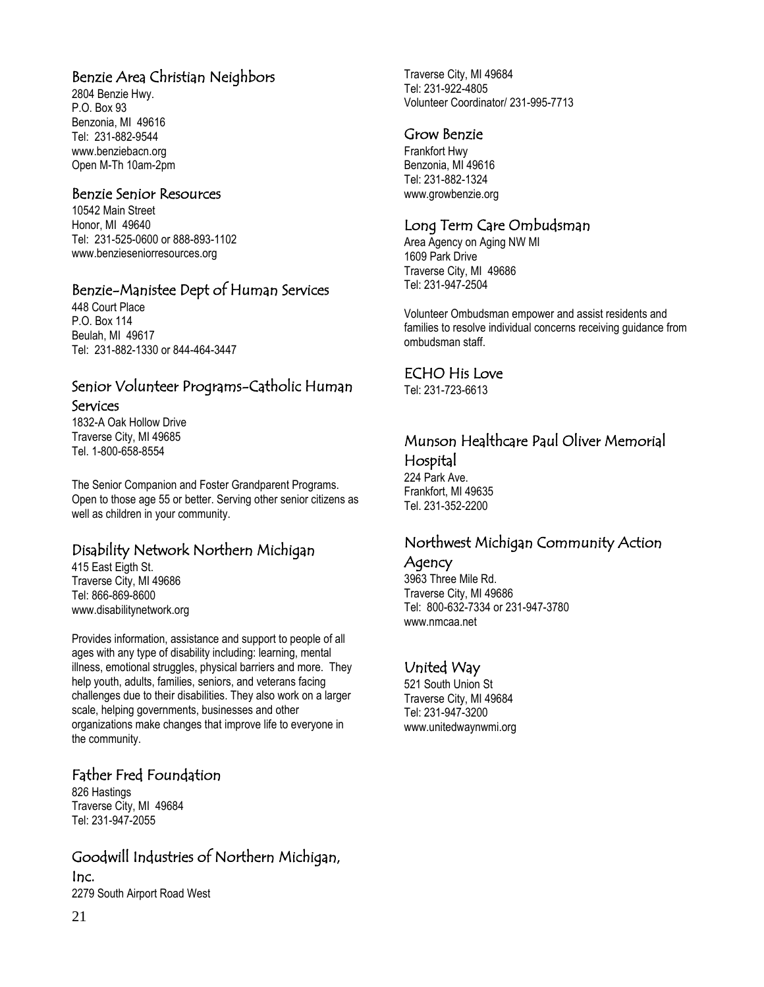# Benzie Area Christian Neighbors

2804 Benzie Hwy. P.O. Box 93 Benzonia, MI 49616 Tel: 231-882-9544 [www.benziebacn.org](http://www.benziebacn.org/) Open M-Th 10am-2pm

#### Benzie Senior Resources

10542 Main Street Honor, MI 49640 Tel: 231-525-0600 or 888-893-1102 www.benzieseniorresources.org

# Benzie-Manistee Dept of Human Services

448 Court Place P.O. Box 114 Beulah, MI 49617 Tel: 231-882-1330 or 844-464-3447

#### Senior Volunteer Programs-Catholic Human Services

1832-A Oak Hollow Drive Traverse City, MI 49685 Tel[. 1-800-658-8554](tel:1-800-658-8554)

The Senior Companion and Foster Grandparent Programs. Open to those age 55 or better. Serving other senior citizens as well as children in your community.

# Disability Network Northern Michigan

415 East Eigth St. Traverse City, MI 49686 Tel: 866-869-8600 www.disabilitynetwork.org

Provides information, assistance and support to people of all ages with any type of disability including: learning, mental illness, emotional struggles, physical barriers and more. They help youth, adults, families, seniors, and veterans facing challenges due to their disabilities. They also work on a larger scale, helping governments, businesses and other organizations make changes that improve life to everyone in the community.

# Father Fred Foundation

826 Hastings Traverse City, MI 49684 Tel: 231-947-2055

# Goodwill Industries of Northern Michigan,

Inc. 2279 South Airport Road West

#### Grow Benzie

Frankfort Hwy Benzonia, MI 49616 Tel: 231-882-1324 www.growbenzie.org

# Long Term Care Ombudsman

Area Agency on Aging NW MI 1609 Park Drive Traverse City, MI 49686 Tel: [231-947-2504](tel:231-947-2504)

Volunteer Ombudsman empower and assist residents and families to resolve individual concerns receiving guidance from ombudsman staff.

#### ECHO His Love

Tel: 231-723-6613

# Munson Healthcare Paul Oliver Memorial Hospital

224 Park Ave. Frankfort, MI 49635 Tel. 231-352-2200

# Northwest Michigan Community Action

Agency

3963 Three Mile Rd. Traverse City, MI 49686 Tel: 800-632-7334 or 231-947-3780 www.nmcaa.net

#### United Way

521 South Union St Traverse City, MI 49684 Tel: 231-947-3200 www.unitedwaynwmi.org